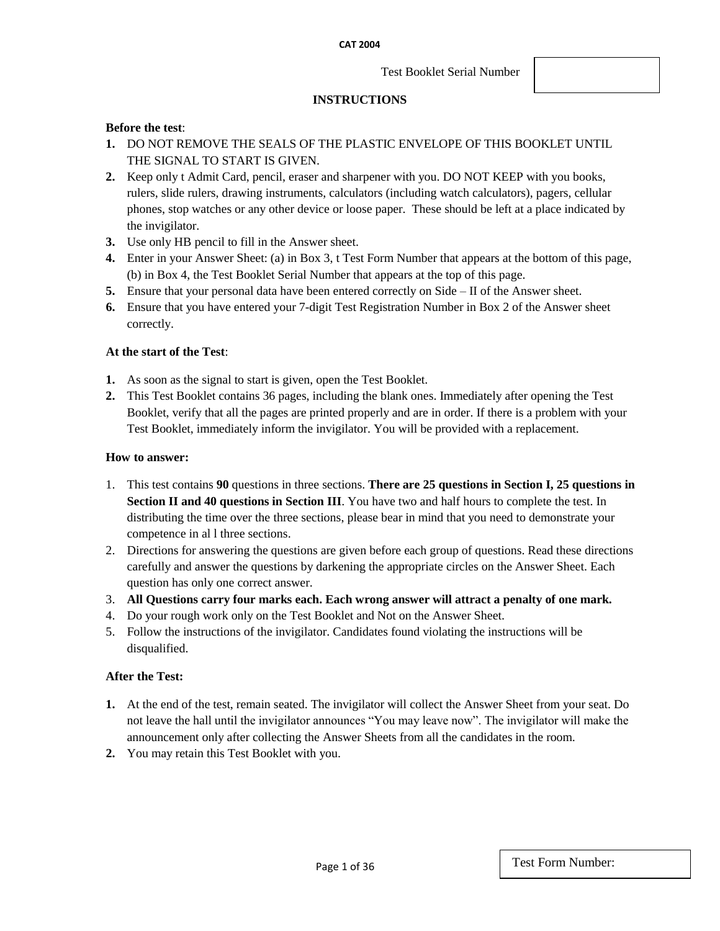Test Booklet Serial Number

# **INSTRUCTIONS**

## **Before the test**:

- **1.** DO NOT REMOVE THE SEALS OF THE PLASTIC ENVELOPE OF THIS BOOKLET UNTIL THE SIGNAL TO START IS GIVEN.
- **2.** Keep only t Admit Card, pencil, eraser and sharpener with you. DO NOT KEEP with you books, rulers, slide rulers, drawing instruments, calculators (including watch calculators), pagers, cellular phones, stop watches or any other device or loose paper. These should be left at a place indicated by the invigilator.
- **3.** Use only HB pencil to fill in the Answer sheet.
- **4.** Enter in your Answer Sheet: (a) in Box 3, t Test Form Number that appears at the bottom of this page, (b) in Box 4, the Test Booklet Serial Number that appears at the top of this page.
- **5.** Ensure that your personal data have been entered correctly on Side II of the Answer sheet.
- **6.** Ensure that you have entered your 7-digit Test Registration Number in Box 2 of the Answer sheet correctly.

## **At the start of the Test**:

- **1.** As soon as the signal to start is given, open the Test Booklet.
- **2.** This Test Booklet contains 36 pages, including the blank ones. Immediately after opening the Test Booklet, verify that all the pages are printed properly and are in order. If there is a problem with your Test Booklet, immediately inform the invigilator. You will be provided with a replacement.

## **How to answer:**

- 1. This test contains **90** questions in three sections. **There are 25 questions in Section I, 25 questions in Section II and 40 questions in Section III**. You have two and half hours to complete the test. In distributing the time over the three sections, please bear in mind that you need to demonstrate your competence in al l three sections.
- 2. Directions for answering the questions are given before each group of questions. Read these directions carefully and answer the questions by darkening the appropriate circles on the Answer Sheet. Each question has only one correct answer.
- 3. **All Questions carry four marks each. Each wrong answer will attract a penalty of one mark.**
- 4. Do your rough work only on the Test Booklet and Not on the Answer Sheet.
- 5. Follow the instructions of the invigilator. Candidates found violating the instructions will be disqualified.

## **After the Test:**

- **1.** At the end of the test, remain seated. The invigilator will collect the Answer Sheet from your seat. Do not leave the hall until the invigilator announces "You may leave now". The invigilator will make the announcement only after collecting the Answer Sheets from all the candidates in the room.
- **2.** You may retain this Test Booklet with you.

Test Form Number: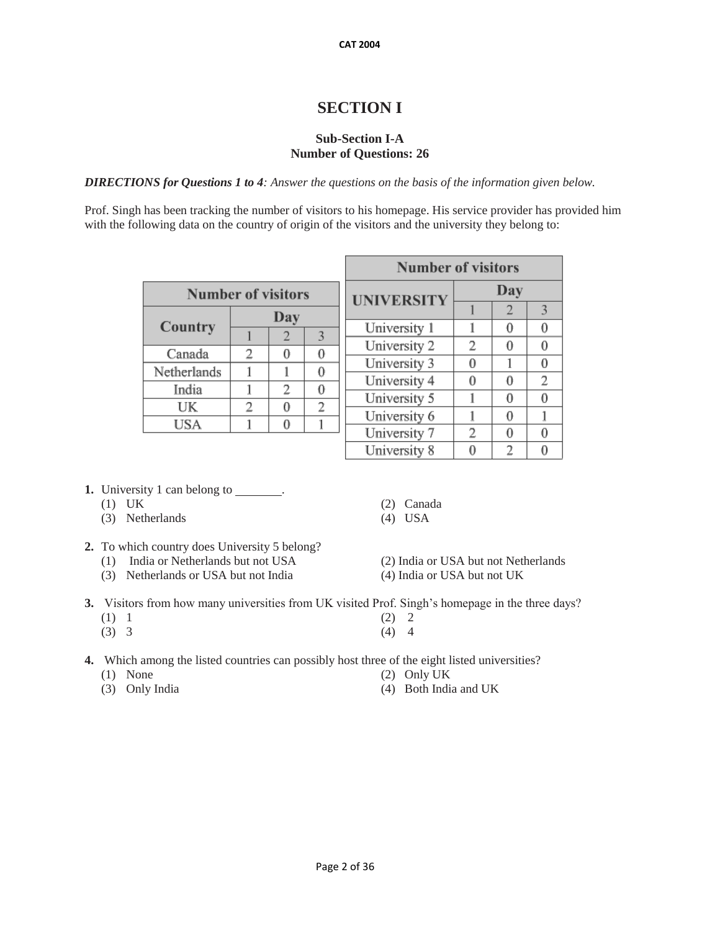# **SECTION I**

# **Sub-Section I-A Number of Questions: 26**

*DIRECTIONS for Questions 1 to 4: Answer the questions on the basis of the information given below.*

Prof. Singh has been tracking the number of visitors to his homepage. His service provider has provided him with the following data on the country of origin of the visitors and the university they belong to:

|                           |   |   |                   | <b>Number of visitors</b> |   |   |   |
|---------------------------|---|---|-------------------|---------------------------|---|---|---|
| <b>Number of visitors</b> |   |   | <b>UNIVERSITY</b> | Day                       |   |   |   |
| Day                       |   |   |                   |                           | 3 |   |   |
| Country                   |   | 2 | 3                 | University 1              |   | 0 | 0 |
|                           |   |   |                   | University 2              | 2 | 0 | 0 |
| Canada                    | 2 | 0 | $\theta$          | University 3              | 0 |   | 0 |
| Netherlands               |   |   | 0                 |                           |   |   |   |
| India                     |   | 2 | 0                 | University 4              | 0 | 0 | 2 |
| UK                        | 2 | 0 | 2                 | University 5              |   | 0 | 0 |
|                           |   |   |                   | University 6              |   | 0 |   |
| <b>USA</b>                |   | 0 |                   | University 7              | 2 | 0 |   |
|                           |   |   |                   | University 8              |   | 2 |   |

**1.** University 1 can belong to  $\qquad \qquad$  (1) UK

- 
- (3) Netherlands (4) USA
- **2.** To which country does University 5 belong?
	- (1) India or Netherlands but not USA (2) India or USA but not Netherlands
	- (3) Netherlands or USA but not India (4) India or USA but not UK
- -

(2) Canada

- **3.** Visitors from how many universities from UK visited Prof. Singh's homepage in the three days?
	- (1) 1 (2) 2
	- $(3)$  3 (4) 4
- **4.** Which among the listed countries can possibly host three of the eight listed universities?
	- (1) None (2) Only UK
	-
- 
- (3) Only India (4) Both India and UK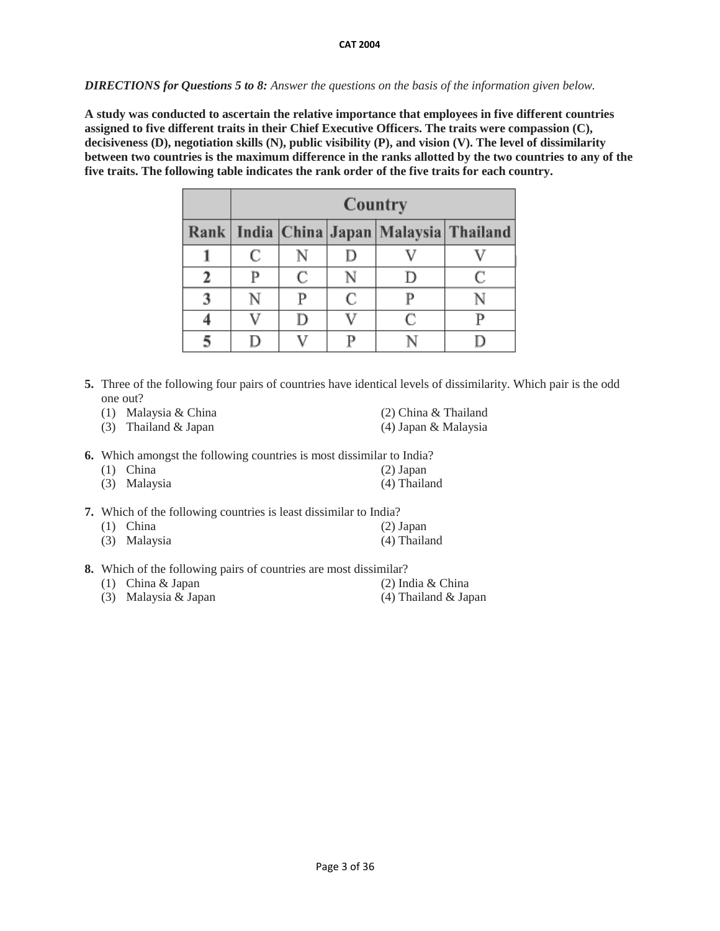*DIRECTIONS for Questions 5 to 8: Answer the questions on the basis of the information given below.* 

**A study was conducted to ascertain the relative importance that employees in five different countries assigned to five different traits in their Chief Executive Officers. The traits were compassion (C), decisiveness (D), negotiation skills (N), public visibility (P), and vision (V). The level of dissimilarity between two countries is the maximum difference in the ranks allotted by the two countries to any of the five traits. The following table indicates the rank order of the five traits for each country.** 

| Country |  |   |   |                                                    |  |  |  |
|---------|--|---|---|----------------------------------------------------|--|--|--|
|         |  |   |   | Rank   India   China   Japan   Malaysia   Thailand |  |  |  |
|         |  |   |   |                                                    |  |  |  |
|         |  |   |   | C                                                  |  |  |  |
|         |  | C |   |                                                    |  |  |  |
|         |  |   | ⊂ |                                                    |  |  |  |
|         |  |   |   |                                                    |  |  |  |

- **5.** Three of the following four pairs of countries have identical levels of dissimilarity. Which pair is the odd one out?
	- (1) Malaysia & China (2) China & Thailand
	- (3) Thailand & Japan (4) Japan & Malaysia
- **6.** Which amongst the following countries is most dissimilar to India?
	- (1) China (2) Japan (3) Malaysia (4) Thailand
	-
- **7.** Which of the following countries is least dissimilar to India?
	- (1) China (2) Japan (3) Malaysia (4) Thailand
- **8.** Which of the following pairs of countries are most dissimilar?
	- (1) China & Japan (2) India & China
	- (3) Malaysia & Japan (4) Thailand & Japan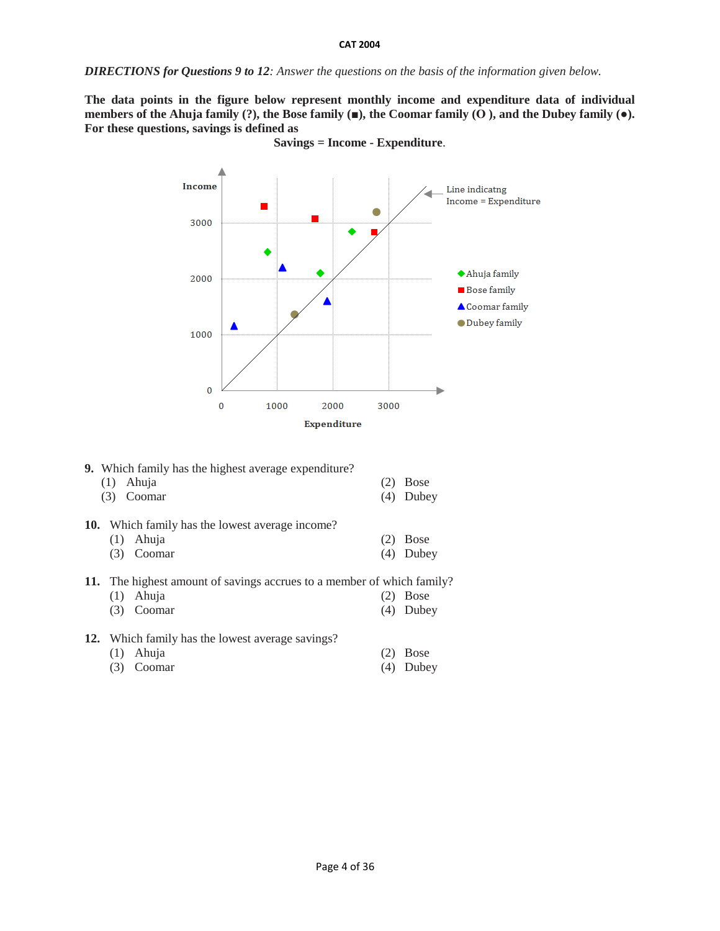*DIRECTIONS for Questions 9 to 12: Answer the questions on the basis of the information given below.* 

**The data points in the figure below represent monthly income and expenditure data of individual**  members of the Ahuja family (?), the Bose family (■), the Coomar family (O), and the Dubey family (●). **For these questions, savings is defined as** 



**Savings = Income - Expenditure**.

|  |  |  |  | 9. Which family has the highest average expenditure? |  |
|--|--|--|--|------------------------------------------------------|--|
|  |  |  |  |                                                      |  |

| $(1)$ Ahuja | $(2)$ Bose  |
|-------------|-------------|
| (3) Coomar  | $(4)$ Dubey |
|             |             |

- **10.** Which family has the lowest average income?
	- (1) Ahuja (2) Bose (3) Coomar (4) Dubey
- **11.** The highest amount of savings accrues to a member of which family?
	- (1) Ahuja (2) Bose (3) Coomar (4) Dubey
- **12.** Which family has the lowest average savings?
	- (1) Ahuja (2) Bose
	- (3) Coomar (4) Dubey
- 
-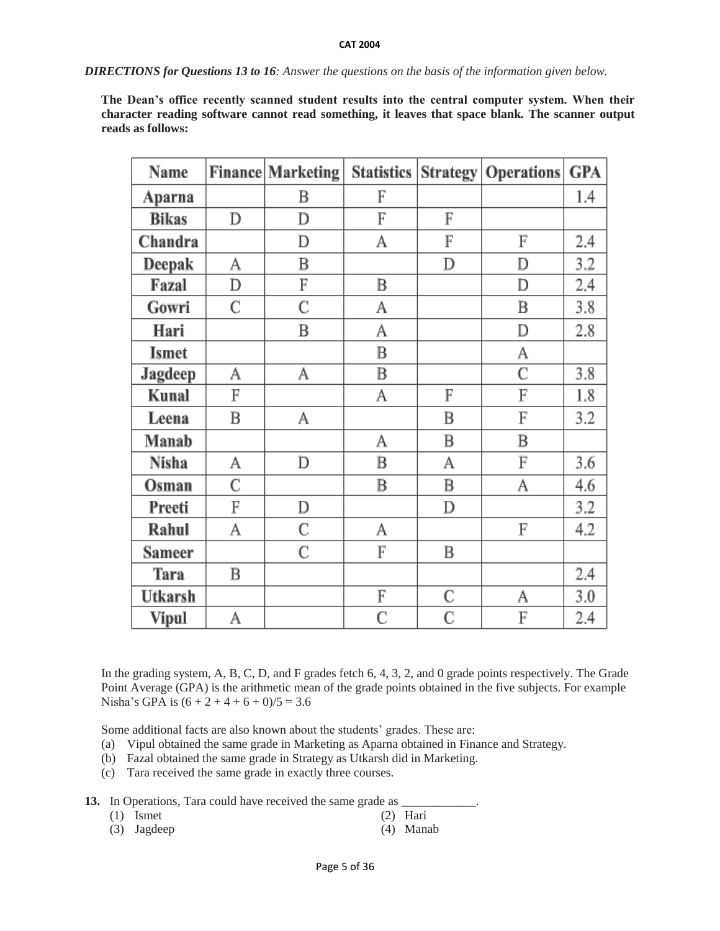*DIRECTIONS for Questions 13 to 16: Answer the questions on the basis of the information given below.* 

**The Dean's office recently scanned student results into the central computer system. When their character reading software cannot read something, it leaves that space blank. The scanner output reads as follows:**

| Name         |              | <b>Finance Marketing</b> | <b>Statistics</b> |   | Strategy   Operations | <b>GPA</b> |
|--------------|--------------|--------------------------|-------------------|---|-----------------------|------------|
| Aparna       |              | Β                        | F                 |   |                       | 1.4        |
| <b>Bikas</b> | D            | D                        | F                 | F |                       |            |
| Chandra      |              | D                        | А                 | F | F                     | 2.4        |
| Deepak       | А            | Β                        |                   | D | D                     | 3.2        |
| Fazal        | D            | F                        | B                 |   | D                     | 2.4        |
| Gowri        | $\mathsf{C}$ | $\mathsf{C}$             | А                 |   | B                     | 3.8        |
| Hari         |              | Β                        | А                 |   | D                     | 2.8        |
| <b>Ismet</b> |              |                          | Β                 |   | А                     |            |
| Jagdeep      | А            | А                        | Β                 |   | Ċ                     | 3.8        |
| Kunal        | F            |                          | А                 | F | F                     | 1.8        |
| Leena        | Β            | А                        |                   | Β | F                     | 3.2        |
| Manab        |              |                          | А                 | Β | Β                     |            |
| Nisha        | А            | D                        | Β                 | А | F                     | 3.6        |
| Osman        | C            |                          | Β                 | Β | А                     | 4.6        |
| Preeti       | F            | D                        |                   | D |                       | 3.2        |
| Rahul        | А            | C                        | А                 |   | F                     | 4.2        |
| Sameer       |              | C                        | F                 | Β |                       |            |
| Tara         | Β            |                          |                   |   |                       | 2.4        |
| Utkarsh      |              |                          | F                 | C | А                     | 3.0        |
| <b>Vipul</b> | А            |                          | C                 | C | F                     | 2.4        |

In the grading system, A, B, C, D, and F grades fetch 6, 4, 3, 2, and 0 grade points respectively. The Grade Point Average (GPA) is the arithmetic mean of the grade points obtained in the five subjects. For example Nisha's GPA is  $(6 + 2 + 4 + 6 + 0)/5 = 3.6$ 

Some additional facts are also known about the students' grades. These are:

- (a) Vipul obtained the same grade in Marketing as Aparna obtained in Finance and Strategy.
- (b) Fazal obtained the same grade in Strategy as Utkarsh did in Marketing.
- (c) Tara received the same grade in exactly three courses.

**13.** In Operations, Tara could have received the same grade as  $\Box$ 

- (1) Ismet (2) Hari (3) Jagdeep (4) Manab
-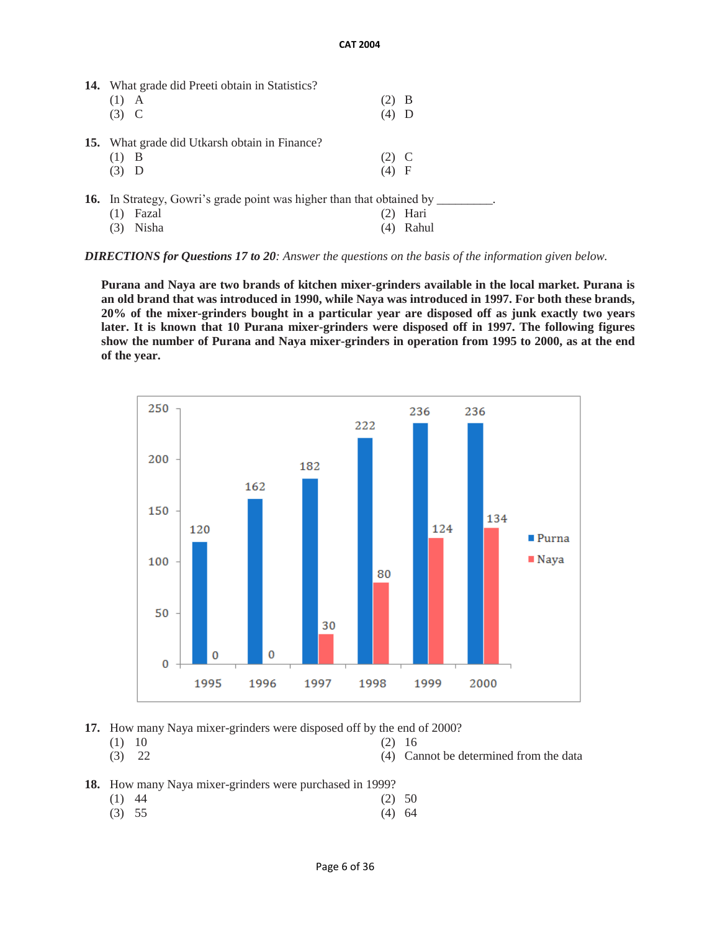| <b>14.</b> What grade did Preeti obtain in Statistics?                       |         |       |
|------------------------------------------------------------------------------|---------|-------|
| $(1)$ A                                                                      | (Z)     | B     |
| (3)<br>– C                                                                   | (4)     | - D   |
| <b>15.</b> What grade did Utkarsh obtain in Finance?                         |         |       |
| $(1)$ B                                                                      | $(2)$ C |       |
| $(3)$ D                                                                      | (4) F   |       |
| <b>16.</b> In Strategy, Gowri's grade point was higher than that obtained by |         |       |
| Fazal<br>(1)                                                                 |         | Hari  |
| (3)<br>Nisha                                                                 |         | Rahul |

*DIRECTIONS for Questions 17 to 20: Answer the questions on the basis of the information given below.* 

**Purana and Naya are two brands of kitchen mixer-grinders available in the local market. Purana is an old brand that was introduced in 1990, while Naya was introduced in 1997. For both these brands, 20% of the mixer-grinders bought in a particular year are disposed off as junk exactly two years later. It is known that 10 Purana mixer-grinders were disposed off in 1997. The following figures show the number of Purana and Naya mixer-grinders in operation from 1995 to 2000, as at the end of the year.** 



**17.** How many Naya mixer-grinders were disposed off by the end of 2000?

(1) 10 (2) 16 (3) 22 (4) Cannot be determined from the data

**18.** How many Naya mixer-grinders were purchased in 1999?

| $(1)$ 44             | $(2)$ 50 |  |
|----------------------|----------|--|
| $\sim$ $\sim$ $\sim$ |          |  |

(3) 55 (4) 64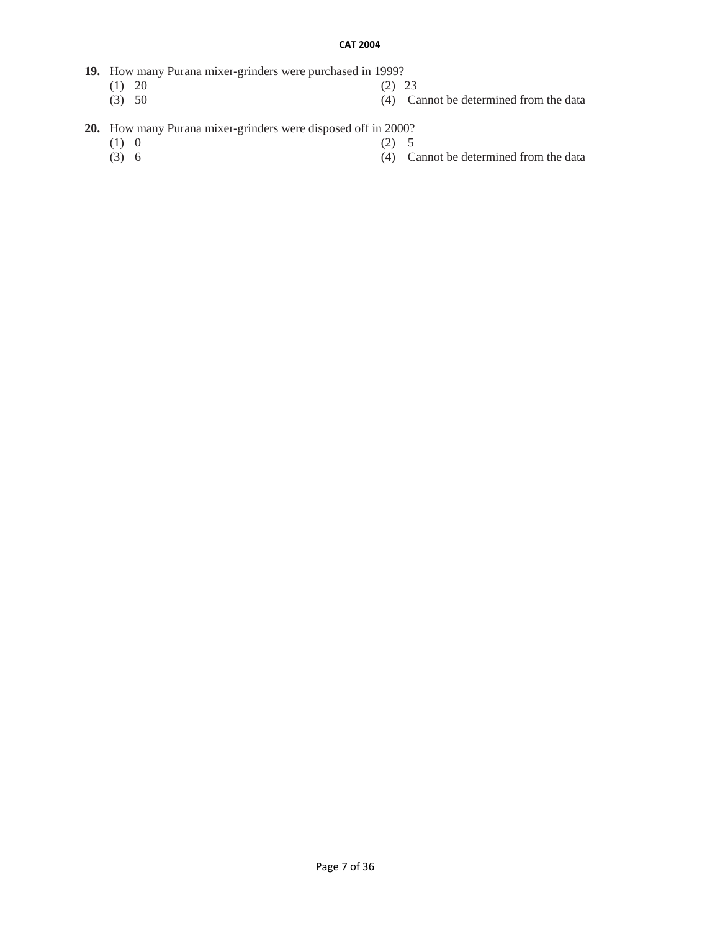- **19.** How many Purana mixer-grinders were purchased in 1999?<br>(1) 20 (2)
	-
	-
- $(2)$  23
- (3) 50  $(4)$  Cannot be determined from the data
- **20.** How many Purana mixer-grinders were disposed off in 2000?<br>(1) 0 (2) 5
	- (1) 0 (2) 5 (3) 6 (4) C
		- $(4)$  Cannot be determined from the data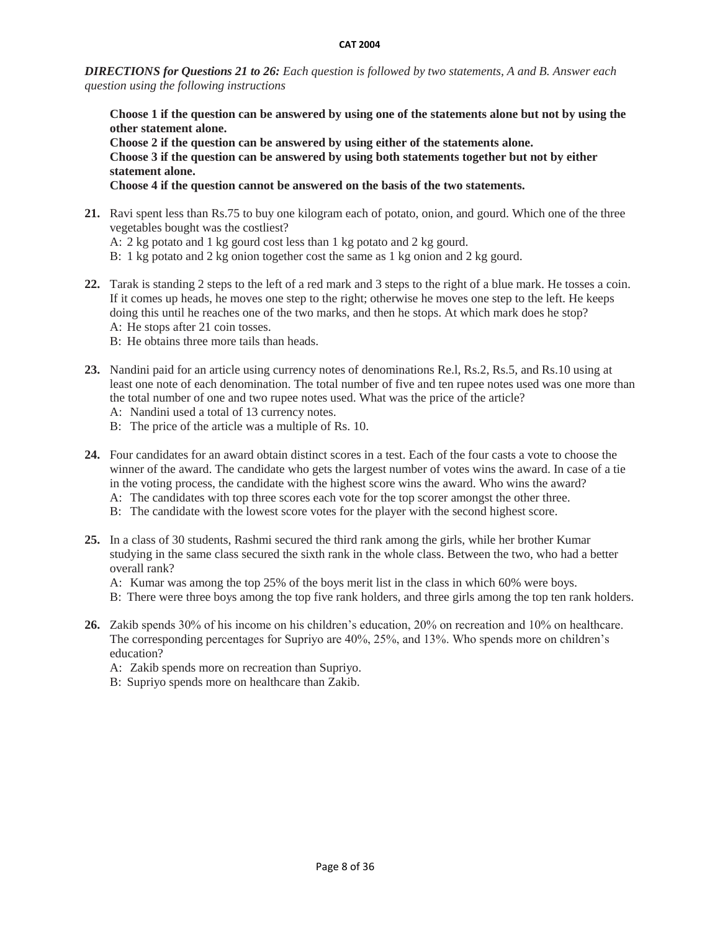*DIRECTIONS for Questions 21 to 26: Each question is followed by two statements, A and B. Answer each question using the following instructions* 

**Choose 1 if the question can be answered by using one of the statements alone but not by using the other statement alone. Choose 2 if the question can be answered by using either of the statements alone.** 

**Choose 3 if the question can be answered by using both statements together but not by either statement alone.** 

**Choose 4 if the question cannot be answered on the basis of the two statements.** 

- **21.** Ravi spent less than Rs.75 to buy one kilogram each of potato, onion, and gourd. Which one of the three vegetables bought was the costliest?
	- A: 2 kg potato and 1 kg gourd cost less than 1 kg potato and 2 kg gourd.
	- B: 1 kg potato and 2 kg onion together cost the same as 1 kg onion and 2 kg gourd.
- **22.** Tarak is standing 2 steps to the left of a red mark and 3 steps to the right of a blue mark. He tosses a coin. If it comes up heads, he moves one step to the right; otherwise he moves one step to the left. He keeps doing this until he reaches one of the two marks, and then he stops. At which mark does he stop? A: He stops after 21 coin tosses.
	- B: He obtains three more tails than heads.
- **23.** Nandini paid for an article using currency notes of denominations Re.l, Rs.2, Rs.5, and Rs.10 using at least one note of each denomination. The total number of five and ten rupee notes used was one more than the total number of one and two rupee notes used. What was the price of the article?
	- A: Nandini used a total of 13 currency notes.
	- B: The price of the article was a multiple of Rs. 10.
- **24.** Four candidates for an award obtain distinct scores in a test. Each of the four casts a vote to choose the winner of the award. The candidate who gets the largest number of votes wins the award. In case of a tie in the voting process, the candidate with the highest score wins the award. Who wins the award? A: The candidates with top three scores each vote for the top scorer amongst the other three.
	- B: The candidate with the lowest score votes for the player with the second highest score.
- **25.** In a class of 30 students, Rashmi secured the third rank among the girls, while her brother Kumar studying in the same class secured the sixth rank in the whole class. Between the two, who had a better overall rank?
	- A: Kumar was among the top 25% of the boys merit list in the class in which 60% were boys.
	- B: There were three boys among the top five rank holders, and three girls among the top ten rank holders.
- **26.** Zakib spends 30% of his income on his children's education, 20% on recreation and 10% on healthcare. The corresponding percentages for Supriyo are 40%, 25%, and 13%. Who spends more on children's education?
	- A: Zakib spends more on recreation than Supriyo.
	- B: Supriyo spends more on healthcare than Zakib.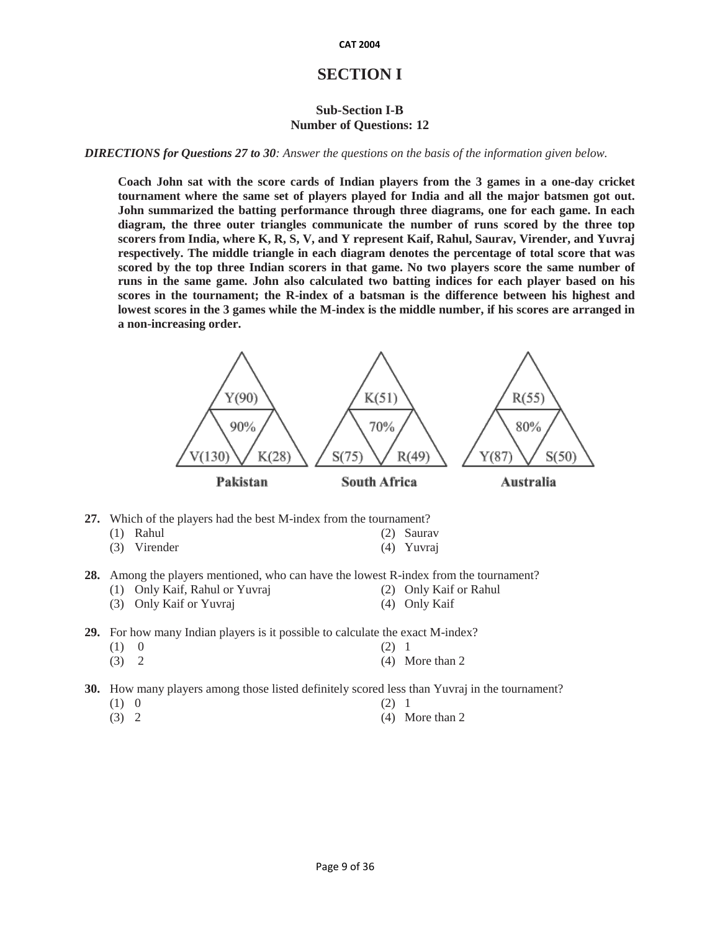# **SECTION I**

## **Sub-Section I-B Number of Questions: 12**

*DIRECTIONS for Questions 27 to 30: Answer the questions on the basis of the information given below.* 

**Coach John sat with the score cards of Indian players from the 3 games in a one-day cricket tournament where the same set of players played for India and all the major batsmen got out. John summarized the batting performance through three diagrams, one for each game. In each diagram, the three outer triangles communicate the number of runs scored by the three top scorers from India, where K, R, S, V, and Y represent Kaif, Rahul, Saurav, Virender, and Yuvraj respectively. The middle triangle in each diagram denotes the percentage of total score that was scored by the top three Indian scorers in that game. No two players score the same number of runs in the same game. John also calculated two batting indices for each player based on his scores in the tournament; the R-index of a batsman is the difference between his highest and lowest scores in the 3 games while the M-index is the middle number, if his scores are arranged in a non-increasing order.** 



- **27.** Which of the players had the best M-index from the tournament?
	- (1) Rahul (2) Saurav
	- (3) Virender (4) Yuvraj
- **28.** Among the players mentioned, who can have the lowest R-index from the tournament?
	- (1) Only Kaif, Rahul or Yuvraj (2) Only Kaif or Rahul
- - (3) Only Kaif or Yuvraj (4) Only Kaif
- 
- **29.** For how many Indian players is it possible to calculate the exact M-index?
	- $(1) \quad 0 \tag{2}$  1
	- (3) 2 (4) More than 2

**30.** How many players among those listed definitely scored less than Yuvraj in the tournament?

- (1)  $0$  (2) 1
- (3) 2 (4) More than 2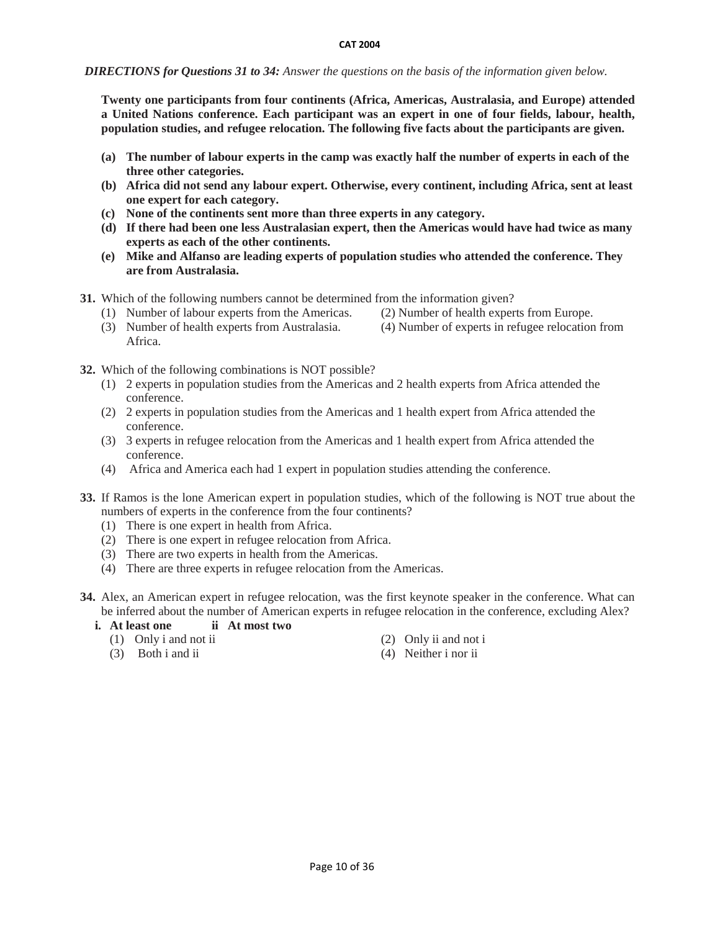*DIRECTIONS for Questions 31 to 34: Answer the questions on the basis of the information given below.* 

**Twenty one participants from four continents (Africa, Americas, Australasia, and Europe) attended a United Nations conference. Each participant was an expert in one of four fields, labour, health, population studies, and refugee relocation. The following five facts about the participants are given.** 

- **(a) The number of labour experts in the camp was exactly half the number of experts in each of the three other categories.**
- **(b) Africa did not send any labour expert. Otherwise, every continent, including Africa, sent at least one expert for each category.**
- **(c) None of the continents sent more than three experts in any category.**
- **(d) If there had been one less Australasian expert, then the Americas would have had twice as many experts as each of the other continents.**
- **(e) Mike and Alfanso are leading experts of population studies who attended the conference. They are from Australasia.**
- **31.** Which of the following numbers cannot be determined from the information given?
	- (1) Number of labour experts from the Americas. (2) Number of health experts from Europe.
	- (3) Number of health experts from Australasia. (4) Number of experts in refugee relocation from
	- Africa.
- **32.** Which of the following combinations is NOT possible?
	- (1) 2 experts in population studies from the Americas and 2 health experts from Africa attended the conference.
	- (2) 2 experts in population studies from the Americas and 1 health expert from Africa attended the conference.
	- (3) 3 experts in refugee relocation from the Americas and 1 health expert from Africa attended the conference.
	- (4) Africa and America each had 1 expert in population studies attending the conference.
- **33.** If Ramos is the lone American expert in population studies, which of the following is NOT true about the numbers of experts in the conference from the four continents?
	- (1) There is one expert in health from Africa.
	- (2) There is one expert in refugee relocation from Africa.
	- (3) There are two experts in health from the Americas.
	- (4) There are three experts in refugee relocation from the Americas.
- **34.** Alex, an American expert in refugee relocation, was the first keynote speaker in the conference. What can be inferred about the number of American experts in refugee relocation in the conference, excluding Alex?
	- **i. At least one ii At most two** 
		- -
		- (1) Only i and not ii (2) Only ii and not i
		- (3) Both i and ii (4) Neither i nor ii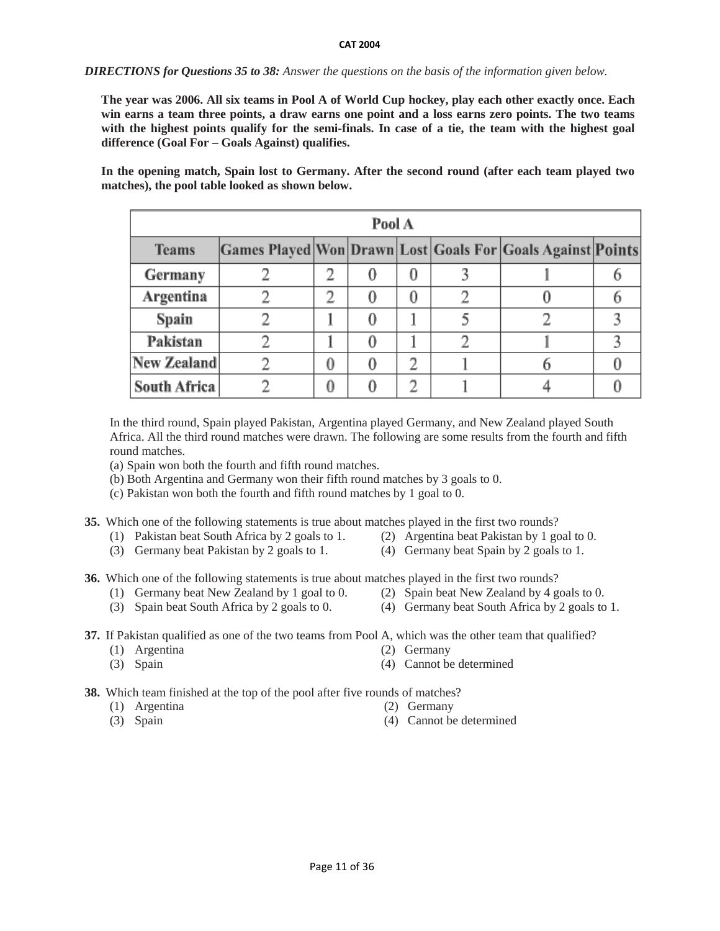*DIRECTIONS for Questions 35 to 38: Answer the questions on the basis of the information given below.* 

**The year was 2006. All six teams in Pool A of World Cup hockey, play each other exactly once. Each win earns a team three points, a draw earns one point and a loss earns zero points. The two teams with the highest points qualify for the semi-finals. In case of a tie, the team with the highest goal difference (Goal For – Goals Against) qualifies.** 

**In the opening match, Spain lost to Germany. After the second round (after each team played two matches), the pool table looked as shown below.** 

| Pool A       |                                                            |           |  |   |  |  |  |  |
|--------------|------------------------------------------------------------|-----------|--|---|--|--|--|--|
| <b>Teams</b> | Games Played Won Drawn Lost Goals For Goals Against Points |           |  |   |  |  |  |  |
| Germany      |                                                            |           |  | 0 |  |  |  |  |
| Argentina    |                                                            |           |  |   |  |  |  |  |
| Spain        |                                                            |           |  |   |  |  |  |  |
| Pakistan     |                                                            |           |  |   |  |  |  |  |
| New Zealand  |                                                            | 0         |  |   |  |  |  |  |
| South Africa |                                                            | $\bigcap$ |  |   |  |  |  |  |

In the third round, Spain played Pakistan, Argentina played Germany, and New Zealand played South Africa. All the third round matches were drawn. The following are some results from the fourth and fifth round matches.

- (a) Spain won both the fourth and fifth round matches.
- (b) Both Argentina and Germany won their fifth round matches by 3 goals to 0.
- (c) Pakistan won both the fourth and fifth round matches by 1 goal to 0.
- **35.** Which one of the following statements is true about matches played in the first two rounds?
	- (1) Pakistan beat South Africa by 2 goals to 1. (2) Argentina beat Pakistan by 1 goal to 0.
	- (3) Germany beat Pakistan by 2 goals to 1. (4) Germany beat Spain by 2 goals to 1.
- 
- 
- **36.** Which one of the following statements is true about matches played in the first two rounds?
	- (1) Germany beat New Zealand by 1 goal to 0. (2) Spain beat New Zealand by 4 goals to 0.
- - (3) Spain beat South Africa by 2 goals to 0. (4) Germany beat South Africa by 2 goals to 1.
- -
- **37.** If Pakistan qualified as one of the two teams from Pool A, which was the other team that qualified?
	- (1) Argentina (2) Germany
- - (3) Spain (4) Cannot be determined

**38.** Which team finished at the top of the pool after five rounds of matches?

- 
- (1) Argentina (2) Germany
	-
- (3) Spain (4) Cannot be determined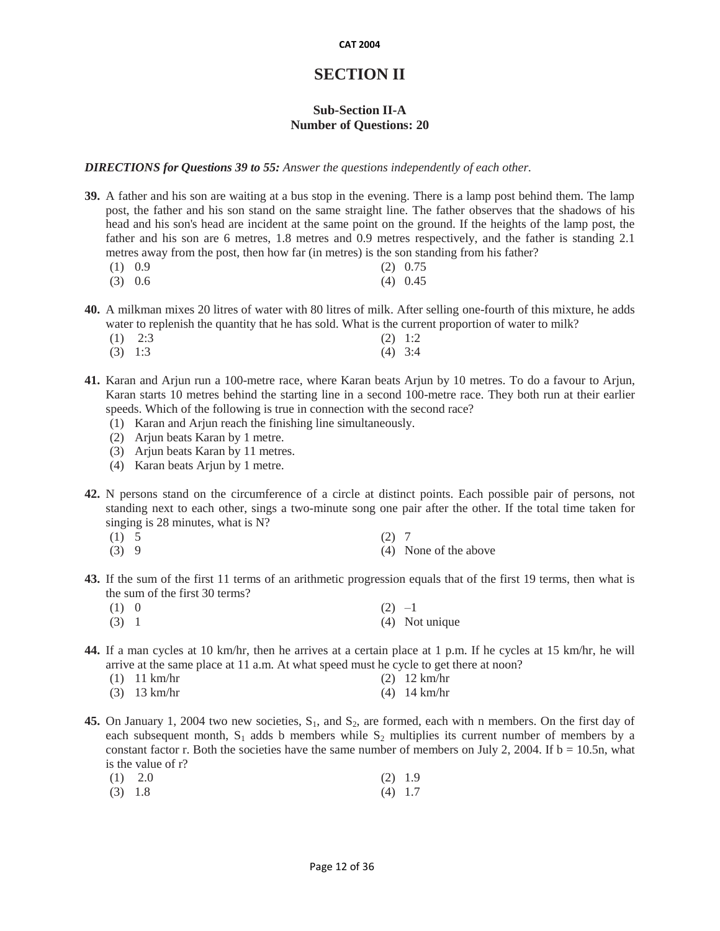# **SECTION II**

## **Sub-Section II-A Number of Questions: 20**

## *DIRECTIONS for Questions 39 to 55: Answer the questions independently of each other.*

- **39.** A father and his son are waiting at a bus stop in the evening. There is a lamp post behind them. The lamp post, the father and his son stand on the same straight line. The father observes that the shadows of his head and his son's head are incident at the same point on the ground. If the heights of the lamp post, the father and his son are 6 metres, 1.8 metres and 0.9 metres respectively, and the father is standing 2.1 metres away from the post, then how far (in metres) is the son standing from his father? (1) 0.9 (2) 0.75
	- (3)  $0.6$  (4)  $0.45$
- **40.** A milkman mixes 20 litres of water with 80 litres of milk. After selling one-fourth of this mixture, he adds water to replenish the quantity that he has sold. What is the current proportion of water to milk?
	- (1)  $2:3$  (2)  $1:2$
	- (3)  $1:3$  (4)  $3:4$
- **41.** Karan and Arjun run a 100-metre race, where Karan beats Arjun by 10 metres. To do a favour to Arjun, Karan starts 10 metres behind the starting line in a second 100-metre race. They both run at their earlier speeds. Which of the following is true in connection with the second race?
	- (1) Karan and Arjun reach the finishing line simultaneously.
	- (2) Arjun beats Karan by 1 metre.
	- (3) Arjun beats Karan by 11 metres.
	- (4) Karan beats Arjun by 1 metre.
- **42.** N persons stand on the circumference of a circle at distinct points. Each possible pair of persons, not standing next to each other, sings a two-minute song one pair after the other. If the total time taken for singing is 28 minutes, what is N?
	-
	- (1)  $5$  (2) 7 (3) 9 (4) None of the above
- **43.** If the sum of the first 11 terms of an arithmetic progression equals that of the first 19 terms, then what is the sum of the first 30 terms?
	- (1) 0  $(2)$  –1
	- (3)  $1$  (4) Not unique
- **44.** If a man cycles at 10 km/hr, then he arrives at a certain place at 1 p.m. If he cycles at 15 km/hr, he will arrive at the same place at 11 a.m. At what speed must he cycle to get there at noon?
	- (1) 11 km/hr (2) 12 km/hr (3) 13 km/hr (4) 14 km/hr
- **45.** On January 1, 2004 two new societies, S<sub>1</sub>, and S<sub>2</sub>, are formed, each with n members. On the first day of each subsequent month,  $S_1$  adds b members while  $S_2$  multiplies its current number of members by a constant factor r. Both the societies have the same number of members on July 2, 2004. If  $b = 10.5n$ , what is the value of r?
	- $(1)$  2.0  $(2)$  1.9
	- (3)  $1.8$  (4)  $1.7$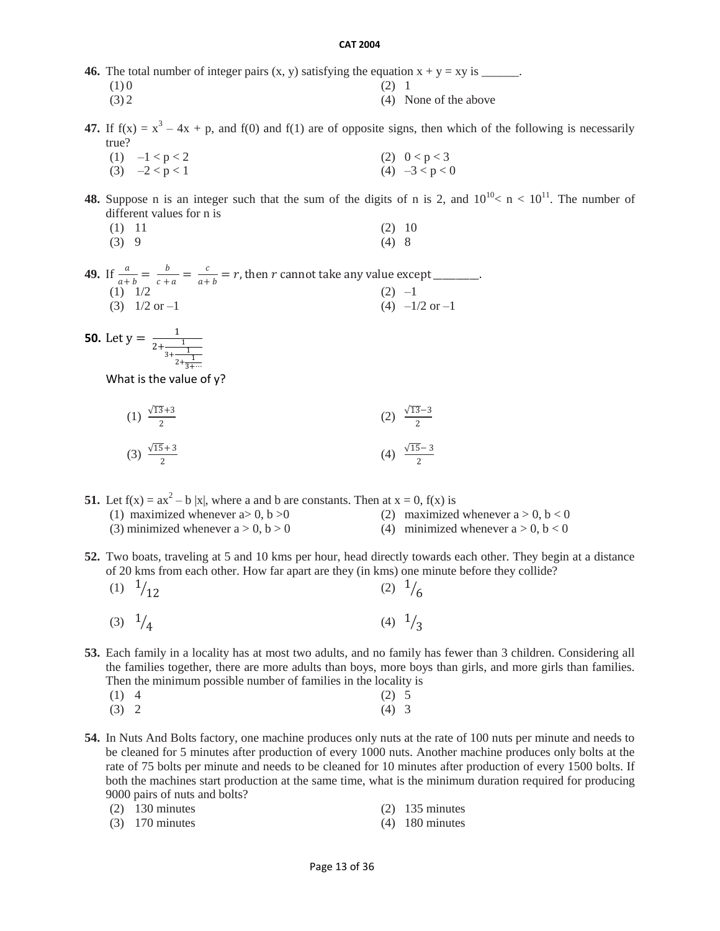**46.** The total number of integer pairs  $(x, y)$  satisfying the equation  $x + y = xy$  is \_\_\_\_\_\_.

 $(1)0$  (2) 1

- $(3)$  2 (4) None of the above
	-
- **47.** If  $f(x) = x^3 4x + p$ , and  $f(0)$  and  $f(1)$  are of opposite signs, then which of the following is necessarily true?
	- (1)  $-1 < p < 2$  (2)  $0 < p < 3$ (3)  $-2 < p < 1$  (4)  $-3 < p < 0$
- **48.** Suppose n is an integer such that the sum of the digits of n is 2, and  $10^{10} < n < 10^{11}$ . The number of different values for n is
	- $(1)$  11  $(2)$  10  $(3)$  9  $(4)$  8
- **49.** If  $\frac{a}{a+b} = \frac{b}{c+b}$  $\frac{b}{c + a} = \frac{c}{a + a}$  $\frac{c}{a+b} = r$ , then r cannot take any value except \_\_\_\_\_\_\_\_.  $(1)$   $1/2$   $(2)$   $-1$ (3)  $1/2$  or  $-1$  (4)  $-1/2$  or  $-1$

**50.** Let 
$$
y = \frac{1}{2 + \frac{1}{3 + \frac{1}{2 + \frac{1}{3 + \dotsb}}}}
$$

What is the value of y?

 $(1) \frac{\sqrt{13}+3}{2}$  $(2) \frac{\sqrt{13}-3}{2}$  $(3) \frac{\sqrt{15}+3}{2}$  $(4) \frac{\sqrt{15}-3}{2}$ 

**51.** Let  $f(x) = ax^2 - b |x|$ , where a and b are constants. Then at  $x = 0$ ,  $f(x)$  is (1) maximized whenever  $a > 0$ ,  $b > 0$  (2) maximized whenever  $a > 0$ ,  $b < 0$ (3) minimized whenever  $a > 0$ ,  $b > 0$  (4) minimized whenever  $a > 0$ ,  $b < 0$ 

- **52.** Two boats, traveling at 5 and 10 kms per hour, head directly towards each other. They begin at a distance of 20 kms from each other. How far apart are they (in kms) one minute before they collide?
	- (1)  $1/12$  $\sqrt{12}$  (2)  $\frac{1}{2}$  $/6$
	- (3)  $\frac{1}{4}$  $\frac{1}{3}$  (4)  $\frac{1}{3}$
- **53.** Each family in a locality has at most two adults, and no family has fewer than 3 children. Considering all the families together, there are more adults than boys, more boys than girls, and more girls than families. Then the minimum possible number of families in the locality is

| $(1)$ 4 |  | (2) 5   |  |
|---------|--|---------|--|
| (3) 2   |  | $(4)$ 3 |  |

- **54.** In Nuts And Bolts factory, one machine produces only nuts at the rate of 100 nuts per minute and needs to be cleaned for 5 minutes after production of every 1000 nuts. Another machine produces only bolts at the rate of 75 bolts per minute and needs to be cleaned for 10 minutes after production of every 1500 bolts. If both the machines start production at the same time, what is the minimum duration required for producing 9000 pairs of nuts and bolts?
	- (2) 130 minutes (2) 135 minutes
		-
	- (3) 170 minutes (4) 180 minutes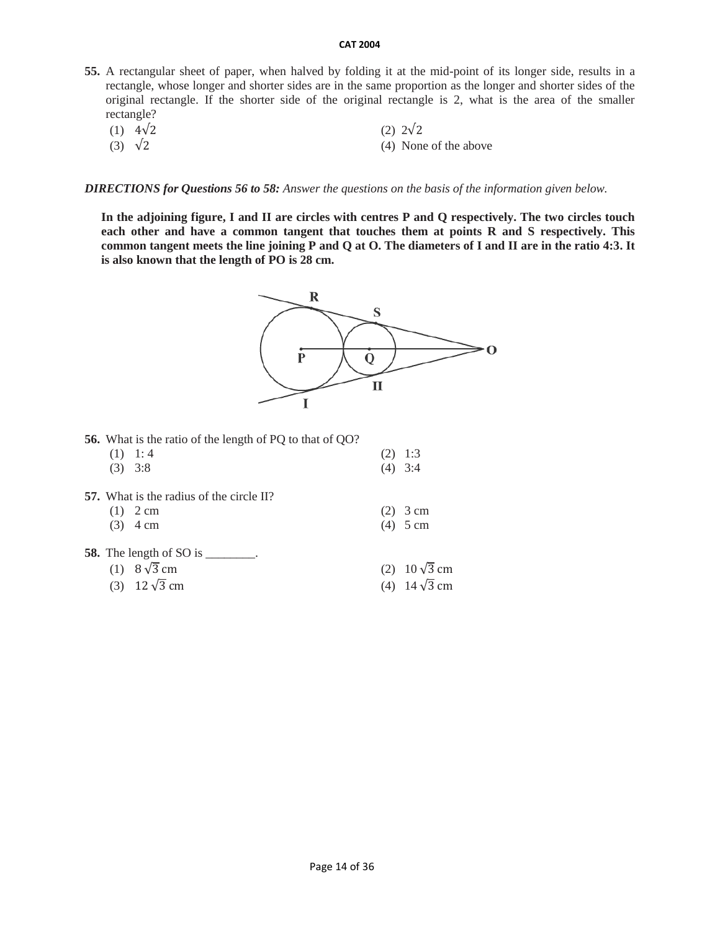- **55.** A rectangular sheet of paper, when halved by folding it at the mid-point of its longer side, results in a rectangle, whose longer and shorter sides are in the same proportion as the longer and shorter sides of the original rectangle. If the shorter side of the original rectangle is 2, what is the area of the smaller rectangle?
	- (1)  $4\sqrt{2}$  (2)  $2\sqrt{2}$
	-

(3)  $\sqrt{2}$  (4) None of the above

*DIRECTIONS for Questions 56 to 58: Answer the questions on the basis of the information given below.* 

**In the adjoining figure, I and II are circles with centres P and Q respectively. The two circles touch each other and have a common tangent that touches them at points R and S respectively. This common tangent meets the line joining P and Q at O. The diameters of I and II are in the ratio 4:3. It is also known that the length of PO is 28 cm.** 



**56.** What is the ratio of the length of PQ to that of QO?

|           | $(1)$ 1:4 | $(2)$ 1:3 |  |
|-----------|-----------|-----------|--|
| $(3)$ 3:8 |           | $(4)$ 3:4 |  |
|           |           |           |  |

**57.** What is the radius of the circle II?

| $(1)$ 2 cm | $(2)$ 3 cm |
|------------|------------|
| $(3)$ 4 cm | $(4)$ 5 cm |

**58.** The length of SO is \_\_\_\_\_\_\_.

| (1) $8\sqrt{3}$ cm   | (2) $10\sqrt{3}$ cm  |
|----------------------|----------------------|
| (3) 12 $\sqrt{3}$ cm | (4) 14 $\sqrt{3}$ cm |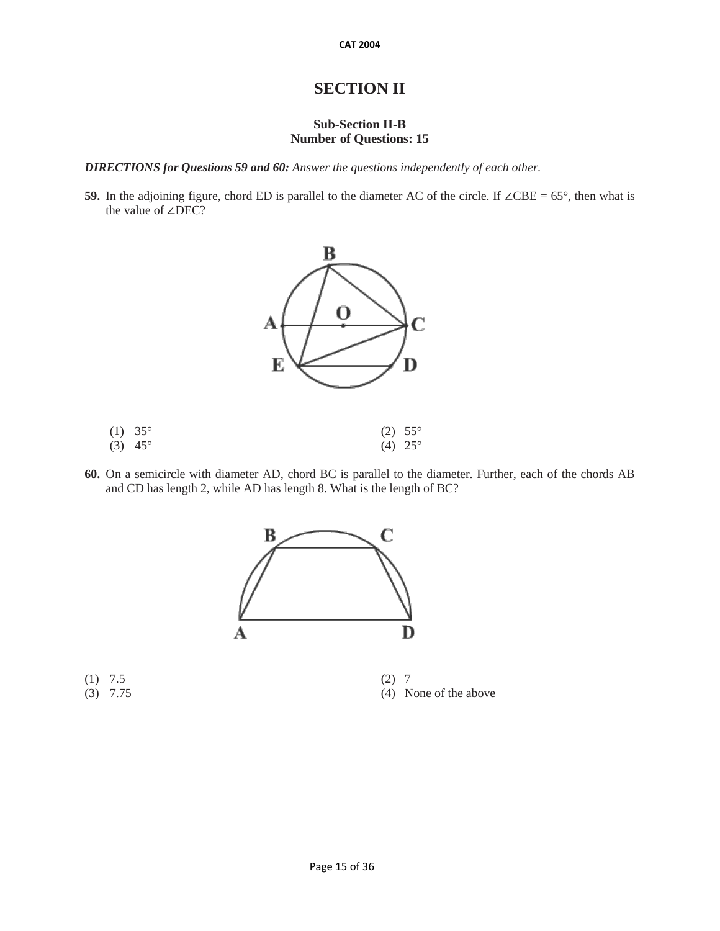# **SECTION II**

# **Sub-Section II-B Number of Questions: 15**

*DIRECTIONS for Questions 59 and 60: Answer the questions independently of each other.* 

59. In the adjoining figure, chord ED is parallel to the diameter AC of the circle. If ∠CBE = 65°, then what is the value of ∠DEC?



**60.** On a semicircle with diameter AD, chord BC is parallel to the diameter. Further, each of the chords AB and CD has length 2, while AD has length 8. What is the length of BC?



(1) 7.5 (2) 7

(3)  $7.75$  (4) None of the above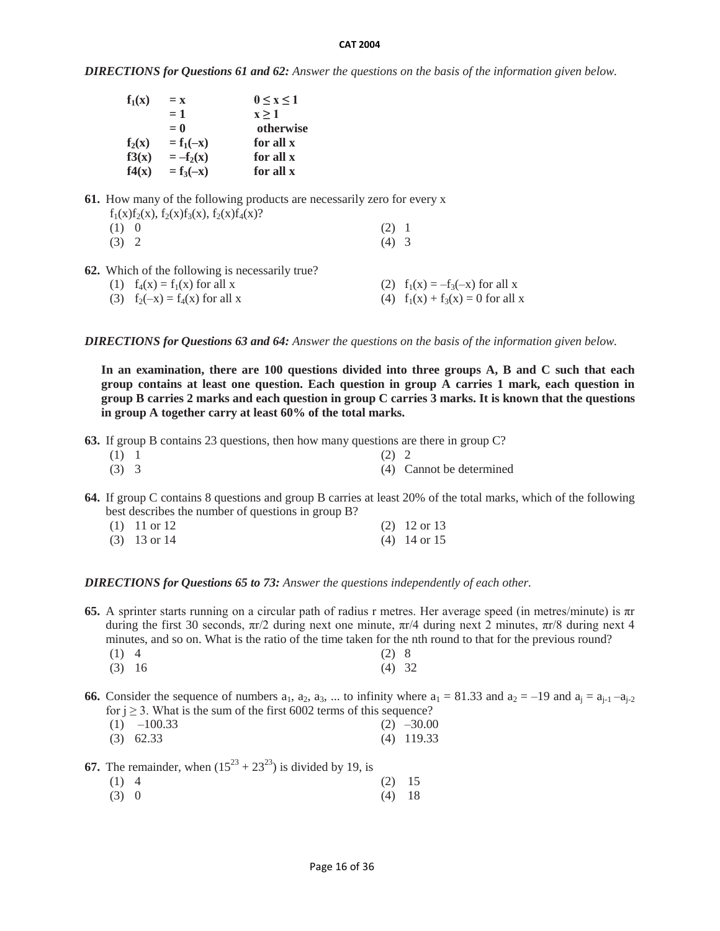*DIRECTIONS for Questions 61 and 62: Answer the questions on the basis of the information given below.* 

| $f_1(x)$ | $= \mathbf{X}$ | $0 \leq x \leq 1$ |
|----------|----------------|-------------------|
|          | $=1$           | x > 1             |
|          | $= 0$          | otherwise         |
| $f_2(x)$ | $= f_1(-x)$    | for all x         |
| f3(x)    | $=-f_2(x)$     | for all x         |
| f4(x)    | $= f_3(-x)$    | for all x         |

**61.** How many of the following products are necessarily zero for every x

| $f_1(x)f_2(x), f_2(x)f_3(x), f_2(x)f_4(x)$ ? |         |
|----------------------------------------------|---------|
| (1) 0                                        | (2) 1   |
| $(3)$ 2                                      | $(4)$ 3 |
|                                              |         |

**62.** Which of the following is necessarily true?

| $\ldots$ men of the following to hecessain, trac. |                                     |
|---------------------------------------------------|-------------------------------------|
| (1) $f_4(x) = f_1(x)$ for all x                   | (2) $f_1(x) = -f_3(-x)$ for all x   |
| (3) $f_2(-x) = f_4(x)$ for all x                  | (4) $f_1(x) + f_3(x) = 0$ for all x |

*DIRECTIONS for Questions 63 and 64: Answer the questions on the basis of the information given below.* 

**In an examination, there are 100 questions divided into three groups A, B and C such that each group contains at least one question. Each question in group A carries 1 mark, each question in group B carries 2 marks and each question in group C carries 3 marks. It is known that the questions in group A together carry at least 60% of the total marks.** 

**63.** If group B contains 23 questions, then how many questions are there in group C?

| (1) 1   |  |                          |
|---------|--|--------------------------|
| $(3)$ 3 |  | (4) Cannot be determined |

**64.** If group C contains 8 questions and group B carries at least 20% of the total marks, which of the following best describes the number of questions in group B?

| $(1)$ 11 or 12 | $(2)$ 12 or 13 |
|----------------|----------------|
| $(3)$ 13 or 14 | $(4)$ 14 or 15 |

#### *DIRECTIONS for Questions 65 to 73: Answer the questions independently of each other.*

**65.** A sprinter starts running on a circular path of radius r metres. Her average speed (in metres/minute) is πr during the first 30 seconds,  $\pi r/2$  during next one minute,  $\pi r/4$  during next 2 minutes,  $\pi r/8$  during next 4 minutes, and so on. What is the ratio of the time taken for the nth round to that for the previous round?

| $(1)$ 4  | $(2)$ 8  |  |
|----------|----------|--|
| $(3)$ 16 | $(4)$ 32 |  |

**66.** Consider the sequence of numbers  $a_1$ ,  $a_2$ ,  $a_3$ , ... to infinity where  $a_1 = 81.33$  and  $a_2 = -19$  and  $a_j = a_{j-1} - a_{j-2}$ for  $i \geq 3$ . What is the sum of the first 6002 terms of this sequence?

| $(1)$ $-100.33$ | $(2)$ $-30.00$ |
|-----------------|----------------|
| $(3)$ 62.33     | $(4)$ 119.33   |

**<sup>67.</sup>** The remainder, when  $(15^{23} + 23^{23})$  is divided by 19, is

| $(1)$ 4 | $(2)$ 15 |   |
|---------|----------|---|
|         |          | . |

(3) 0 (4) 18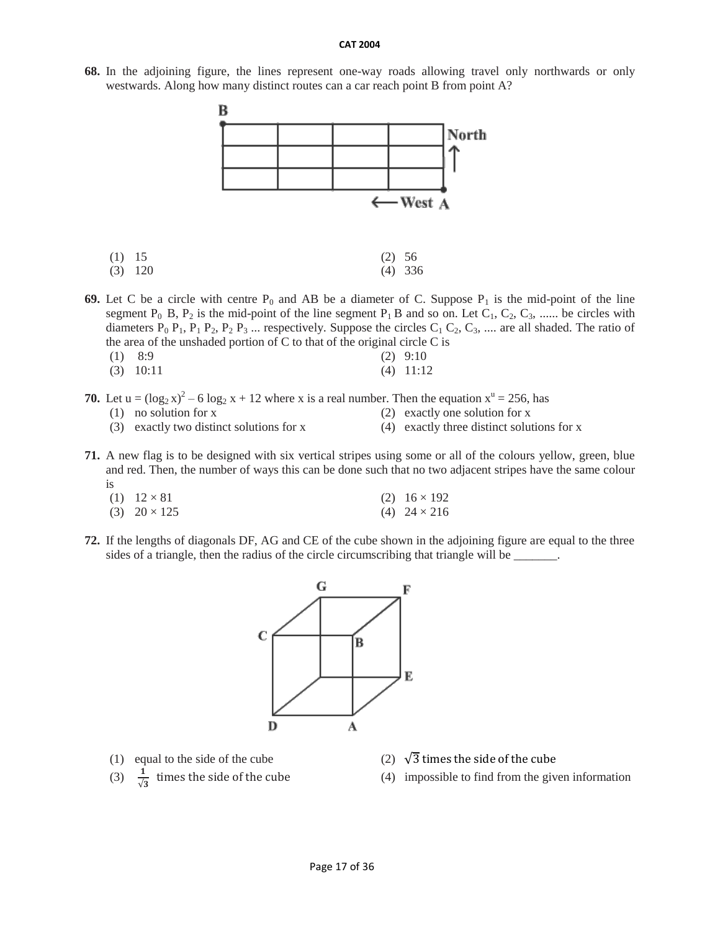**68.** In the adjoining figure, the lines represent one-way roads allowing travel only northwards or only westwards. Along how many distinct routes can a car reach point B from point A?



| $(1)$ 15 |           | $(2)$ 56 |           |
|----------|-----------|----------|-----------|
|          | $(3)$ 120 |          | $(4)$ 336 |

**69.** Let C be a circle with centre  $P_0$  and AB be a diameter of C. Suppose  $P_1$  is the mid-point of the line segment  $P_0$  B,  $P_2$  is the mid-point of the line segment  $P_1$  B and so on. Let  $C_1$ ,  $C_2$ ,  $C_3$ , ...... be circles with diameters  $P_0$   $P_1$ ,  $P_1$   $P_2$ ,  $P_2$   $P_3$  ... respectively. Suppose the circles  $C_1$   $C_2$ ,  $C_3$ , .... are all shaded. The ratio of the area of the unshaded portion of C to that of the original circle C is

- (1) 8:9 (2) 9:10
- (3) 10:11 (4) 11:12
- **70.** Let  $u = (log_2 x)^2 6 log_2 x + 12$  where x is a real number. Then the equation  $x^u = 256$ , has
	- (1) no solution for x (2) exactly one solution for x
	- (3) exactly two distinct solutions for x (4) exactly three distinct solutions for x
- -
- 
- **71.** A new flag is to be designed with six vertical stripes using some or all of the colours yellow, green, blue and red. Then, the number of ways this can be done such that no two adjacent stripes have the same colour is

|                             | $(1)$ 12 × 81 | $(2)$ 16 $\times$ 192 |       |
|-----------------------------|---------------|-----------------------|-------|
| $\sim$ $\sim$ $\sim$ $\sim$ |               |                       | - - - |

- (3)  $20 \times 125$  (4)  $24 \times 216$
- **72.** If the lengths of diagonals DF, AG and CE of the cube shown in the adjoining figure are equal to the three sides of a triangle, then the radius of the circle circumscribing that triangle will be



- 
- (1) equal to the side of the cube (2)  $\sqrt{3}$  times the side of the cube
- (3)  $\frac{1}{\sqrt{2}}$  times the side of the cube
- $(4)$  impossible to find from the given information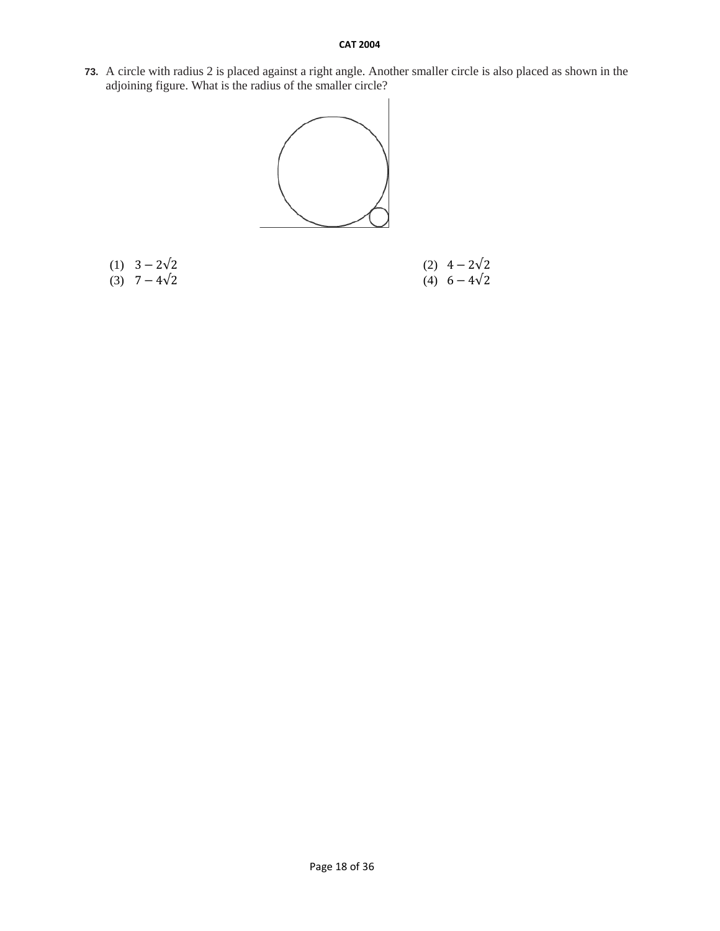**73.** A circle with radius 2 is placed against a right angle. Another smaller circle is also placed as shown in the adjoining figure. What is the radius of the smaller circle?



- 
- (1)  $3 2\sqrt{2}$  (2)  $4 2\sqrt{2}$ (3)  $7 - 4\sqrt{2}$  (4)  $6 - 4\sqrt{2}$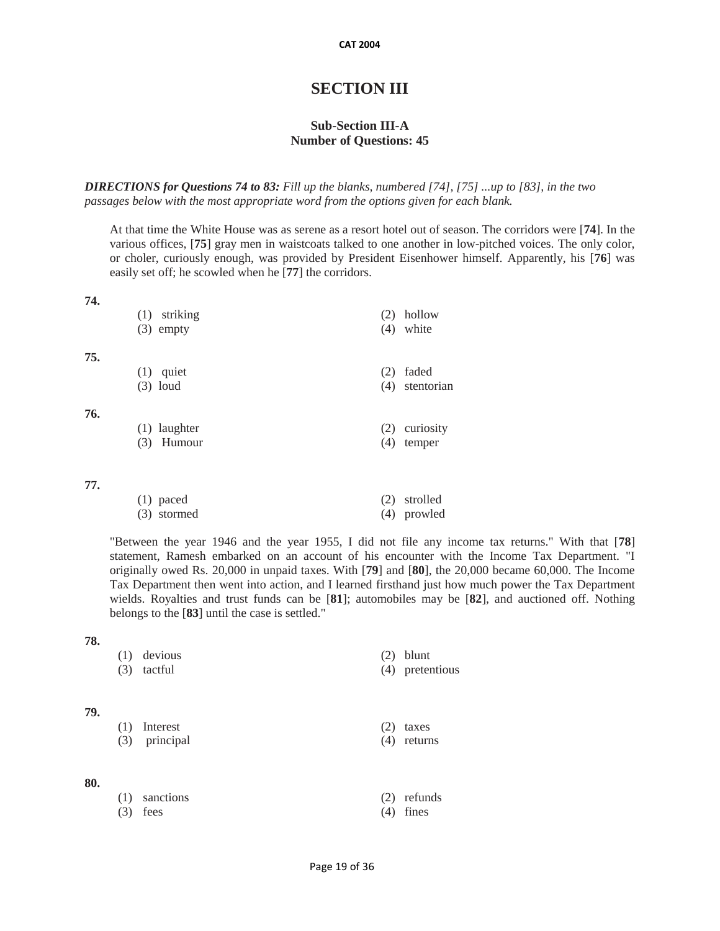# **SECTION III**

## **Sub-Section III-A Number of Questions: 45**

*DIRECTIONS for Questions 74 to 83: Fill up the blanks, numbered [74], [75] ...up to [83], in the two passages below with the most appropriate word from the options given for each blank.* 

At that time the White House was as serene as a resort hotel out of season. The corridors were [**74**]. In the various offices, [**75**] gray men in waistcoats talked to one another in low-pitched voices. The only color, or choler, curiously enough, was provided by President Eisenhower himself. Apparently, his [**76**] was easily set off; he scowled when he [**77**] the corridors.

**74.**

**75.**

**76.**

**77.**

| striking<br>(1)<br>$(3)$ empty  | hollow<br>(2)<br>white<br>(4)     |  |
|---------------------------------|-----------------------------------|--|
| $(1)$ quiet<br>$(3)$ loud       | faded<br>(2)<br>(4)<br>stentorian |  |
| $(1)$ laughter<br>Humour<br>(3) | (2) curiosity<br>(4)<br>temper    |  |

| $(1)$ paced | (2) strolled |
|-------------|--------------|
| (3) stormed | (4) prowled  |

"Between the year 1946 and the year 1955, I did not file any income tax returns." With that [**78**] statement, Ramesh embarked on an account of his encounter with the Income Tax Department. "I originally owed Rs. 20,000 in unpaid taxes. With [**79**] and [**80**], the 20,000 became 60,000. The Income Tax Department then went into action, and I learned firsthand just how much power the Tax Department wields. Royalties and trust funds can be [**81**]; automobiles may be [**82**], and auctioned off. Nothing belongs to the [**83**] until the case is settled."

## **78.**

**79.**

**80.**

| $(1)$ devious | $(2)$ blunt     |
|---------------|-----------------|
| $(3)$ tactful | (4) pretentious |
|               |                 |
| Interest      | (2)             |
| (1)           | taxes           |

| $\sim$        |               |
|---------------|---------------|
| (3) principal | $(4)$ returns |

|            | (1) sanctions | $(2)$ refunds |
|------------|---------------|---------------|
| $(3)$ fees |               | $(4)$ fines   |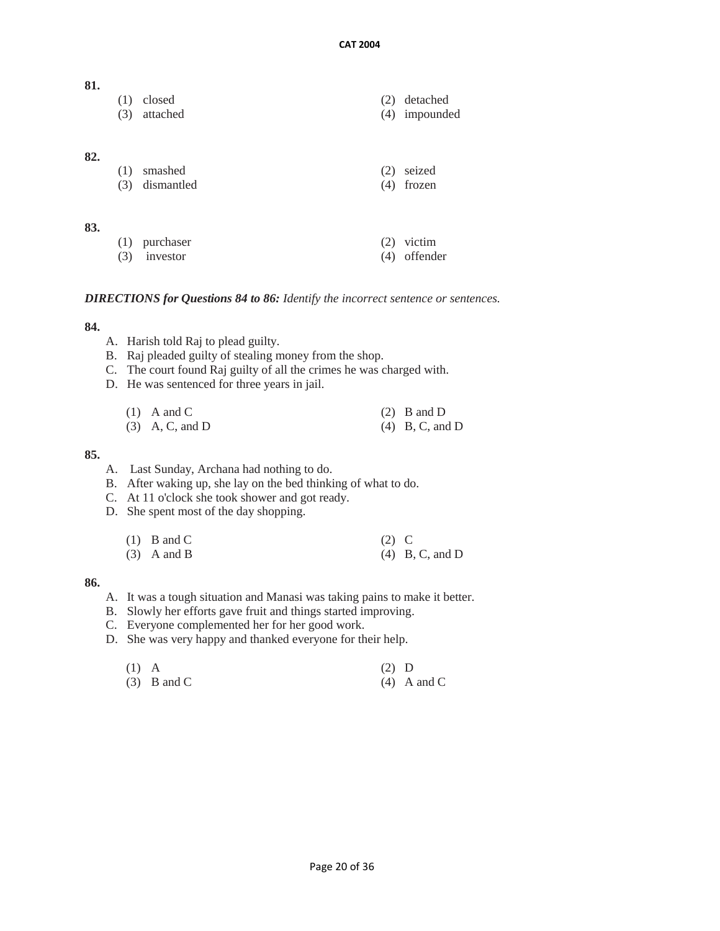# **81.**

|     | (1)<br>(3) | closed<br>attached | (2) | detached<br>(4) impounded |
|-----|------------|--------------------|-----|---------------------------|
| 82. | (1)        | smashed            | (2) | seized                    |
|     | (3)        | dismantled         | (4) | frozen                    |
| 83. | (1)        | purchaser          | (2) | victim                    |
|     | (3)        | investor           | (4) | offender                  |

*DIRECTIONS for Questions 84 to 86: Identify the incorrect sentence or sentences.* 

## **84.**

A. Harish told Raj to plead guilty.

B. Raj pleaded guilty of stealing money from the shop.

- C. The court found Raj guilty of all the crimes he was charged with.
- D. He was sentenced for three years in jail.

| $(1)$ A and C     | $(2)$ B and D     |
|-------------------|-------------------|
| $(3)$ A, C, and D | $(4)$ B, C, and D |

## **85.**

- A. Last Sunday, Archana had nothing to do.
- B. After waking up, she lay on the bed thinking of what to do.
- C. At 11 o'clock she took shower and got ready.
- D. She spent most of the day shopping.

| $(1)$ B and C | $(2)$ C |                   |
|---------------|---------|-------------------|
| $(3)$ A and B |         | $(4)$ B, C, and D |

# **86.**

- A. It was a tough situation and Manasi was taking pains to make it better.
- B. Slowly her efforts gave fruit and things started improving.
- C. Everyone complemented her for her good work.
- D. She was very happy and thanked everyone for their help.

| $(1)$ A |               | $(2)$ D |               |
|---------|---------------|---------|---------------|
|         | $(3)$ B and C |         | $(4)$ A and C |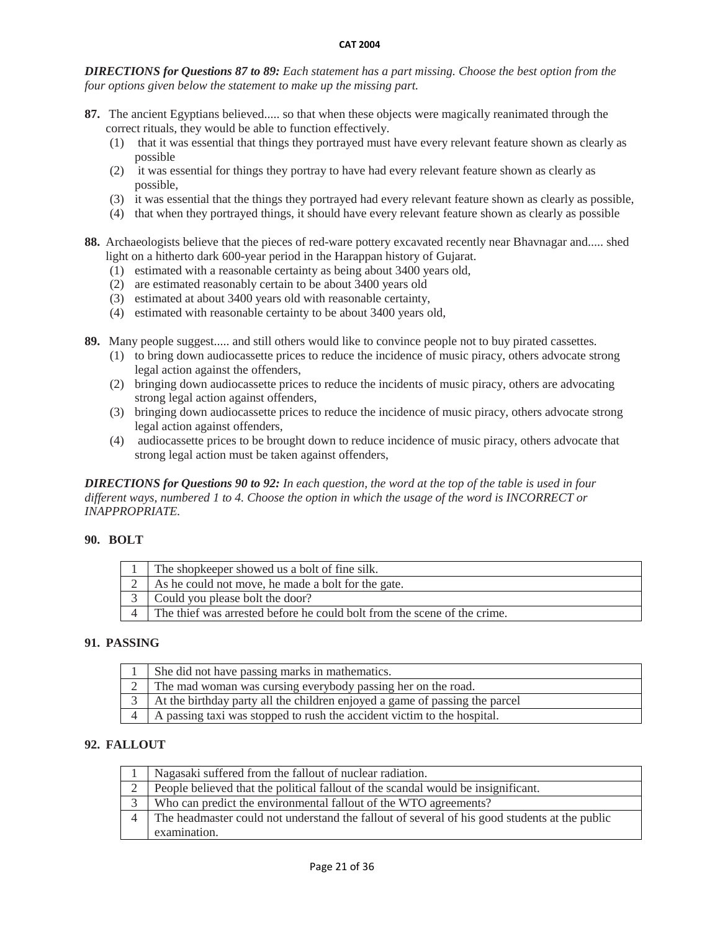*DIRECTIONS for Questions 87 to 89: Each statement has a part missing. Choose the best option from the four options given below the statement to make up the missing part.* 

- **87.** The ancient Egyptians believed..... so that when these objects were magically reanimated through the correct rituals, they would be able to function effectively.
	- (1) that it was essential that things they portrayed must have every relevant feature shown as clearly as possible
	- (2) it was essential for things they portray to have had every relevant feature shown as clearly as possible,
	- (3) it was essential that the things they portrayed had every relevant feature shown as clearly as possible,
	- (4) that when they portrayed things, it should have every relevant feature shown as clearly as possible

**88.** Archaeologists believe that the pieces of red-ware pottery excavated recently near Bhavnagar and..... shed light on a hitherto dark 600-year period in the Harappan history of Gujarat.

- (1) estimated with a reasonable certainty as being about 3400 years old,
- (2) are estimated reasonably certain to be about 3400 years old
- (3) estimated at about 3400 years old with reasonable certainty,
- (4) estimated with reasonable certainty to be about 3400 years old,
- **89.** Many people suggest..... and still others would like to convince people not to buy pirated cassettes.
	- (1) to bring down audiocassette prices to reduce the incidence of music piracy, others advocate strong legal action against the offenders,
	- (2) bringing down audiocassette prices to reduce the incidents of music piracy, others are advocating strong legal action against offenders,
	- (3) bringing down audiocassette prices to reduce the incidence of music piracy, others advocate strong legal action against offenders,
	- (4) audiocassette prices to be brought down to reduce incidence of music piracy, others advocate that strong legal action must be taken against offenders,

## *DIRECTIONS for Questions 90 to 92: In each question, the word at the top of the table is used in four different ways, numbered 1 to 4. Choose the option in which the usage of the word is INCORRECT or INAPPROPRIATE.*

# **90. BOLT**

| The shopkeeper showed us a bolt of fine silk.                            |
|--------------------------------------------------------------------------|
| 2 As he could not move, he made a bolt for the gate.                     |
| 3 Could you please bolt the door?                                        |
| The thief was arrested before he could bolt from the scene of the crime. |
|                                                                          |

# **91. PASSING**

| She did not have passing marks in mathematics.                              |
|-----------------------------------------------------------------------------|
| The mad woman was cursing everybody passing her on the road.                |
| At the birthday party all the children enjoyed a game of passing the parcel |
| A passing taxi was stopped to rush the accident victim to the hospital.     |

# **92. FALLOUT**

| Nagasaki suffered from the fallout of nuclear radiation.                                      |
|-----------------------------------------------------------------------------------------------|
| People believed that the political fallout of the scandal would be insignificant.             |
| Who can predict the environmental fallout of the WTO agreements?                              |
| The headmaster could not understand the fallout of several of his good students at the public |
| examination.                                                                                  |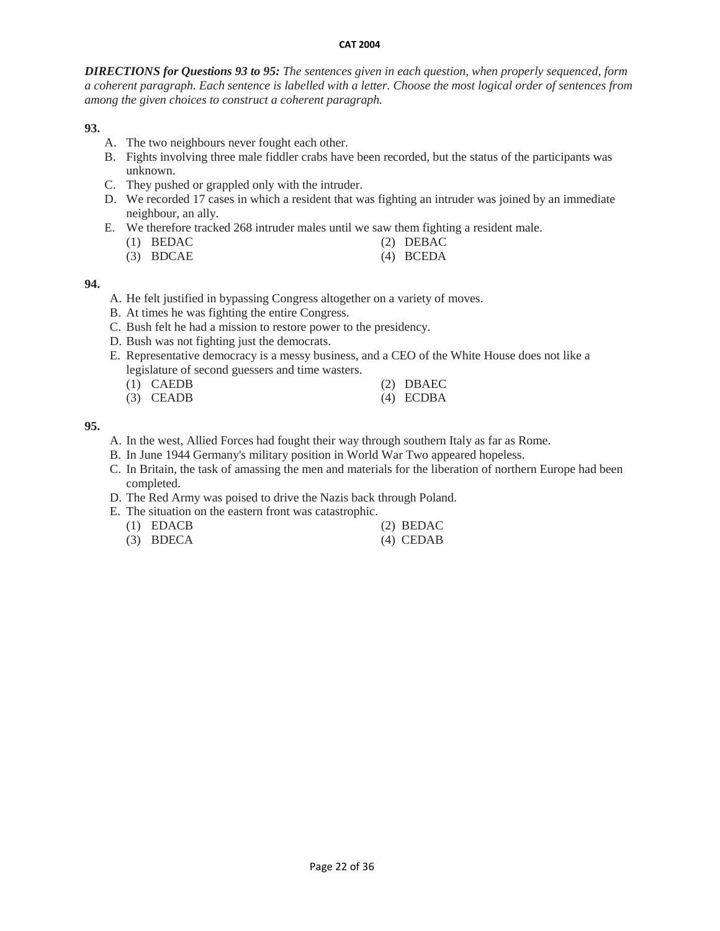*DIRECTIONS for Questions 93 to 95: The sentences given in each question, when properly sequenced, form a coherent paragraph. Each sentence is labelled with a letter. Choose the most logical order of sentences from among the given choices to construct a coherent paragraph.* 

## **93.**

- A. The two neighbours never fought each other.
- B. Fights involving three male fiddler crabs have been recorded, but the status of the participants was unknown.
- C. They pushed or grappled only with the intruder.
- D. We recorded 17 cases in which a resident that was fighting an intruder was joined by an immediate neighbour, an ally.
- E. We therefore tracked 268 intruder males until we saw them fighting a resident male.
	- (1) BEDAC (2) DEBAC
		-
	- (3) BDCAE (4) BCEDA
		-

## **94.**

- A. He felt justified in bypassing Congress altogether on a variety of moves.
- B. At times he was fighting the entire Congress.
- C. Bush felt he had a mission to restore power to the presidency.
- D. Bush was not fighting just the democrats.
- E. Representative democracy is a messy business, and a CEO of the White House does not like a legislature of second guessers and time wasters.
	- (1) CAEDB (2) DBAEC (3) CEADB (4) ECDBA

## **95.**

- A. In the west, Allied Forces had fought their way through southern Italy as far as Rome.
- B. In June 1944 Germany's military position in World War Two appeared hopeless.
- C. In Britain, the task of amassing the men and materials for the liberation of northern Europe had been completed.
- D. The Red Army was poised to drive the Nazis back through Poland.
- E. The situation on the eastern front was catastrophic.

| $(1)$ EDACB | $(2)$ BEDAC |
|-------------|-------------|
| $(3)$ BDECA | $(4)$ CEDAB |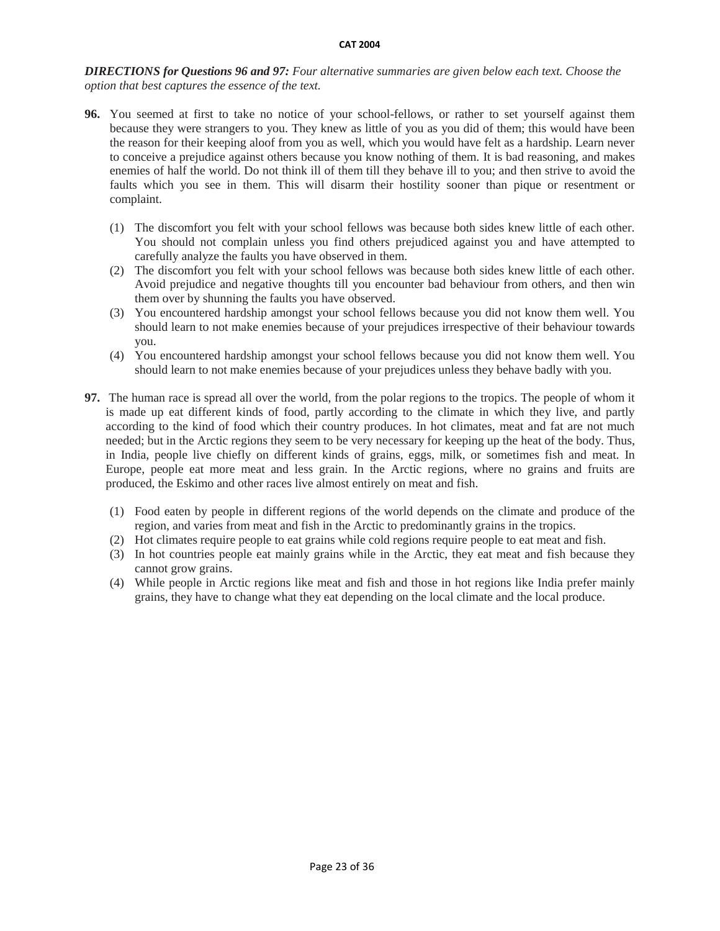*DIRECTIONS for Questions 96 and 97: Four alternative summaries are given below each text. Choose the option that best captures the essence of the text.* 

- **96.** You seemed at first to take no notice of your school-fellows, or rather to set yourself against them because they were strangers to you. They knew as little of you as you did of them; this would have been the reason for their keeping aloof from you as well, which you would have felt as a hardship. Learn never to conceive a prejudice against others because you know nothing of them. It is bad reasoning, and makes enemies of half the world. Do not think ill of them till they behave ill to you; and then strive to avoid the faults which you see in them. This will disarm their hostility sooner than pique or resentment or complaint.
	- (1) The discomfort you felt with your school fellows was because both sides knew little of each other. You should not complain unless you find others prejudiced against you and have attempted to carefully analyze the faults you have observed in them.
	- (2) The discomfort you felt with your school fellows was because both sides knew little of each other. Avoid prejudice and negative thoughts till you encounter bad behaviour from others, and then win them over by shunning the faults you have observed.
	- (3) You encountered hardship amongst your school fellows because you did not know them well. You should learn to not make enemies because of your prejudices irrespective of their behaviour towards you.
	- (4) You encountered hardship amongst your school fellows because you did not know them well. You should learn to not make enemies because of your prejudices unless they behave badly with you.
- **97.** The human race is spread all over the world, from the polar regions to the tropics. The people of whom it is made up eat different kinds of food, partly according to the climate in which they live, and partly according to the kind of food which their country produces. In hot climates, meat and fat are not much needed; but in the Arctic regions they seem to be very necessary for keeping up the heat of the body. Thus, in India, people live chiefly on different kinds of grains, eggs, milk, or sometimes fish and meat. In Europe, people eat more meat and less grain. In the Arctic regions, where no grains and fruits are produced, the Eskimo and other races live almost entirely on meat and fish.
	- (1) Food eaten by people in different regions of the world depends on the climate and produce of the region, and varies from meat and fish in the Arctic to predominantly grains in the tropics.
	- (2) Hot climates require people to eat grains while cold regions require people to eat meat and fish.
	- (3) In hot countries people eat mainly grains while in the Arctic, they eat meat and fish because they cannot grow grains.
	- (4) While people in Arctic regions like meat and fish and those in hot regions like India prefer mainly grains, they have to change what they eat depending on the local climate and the local produce.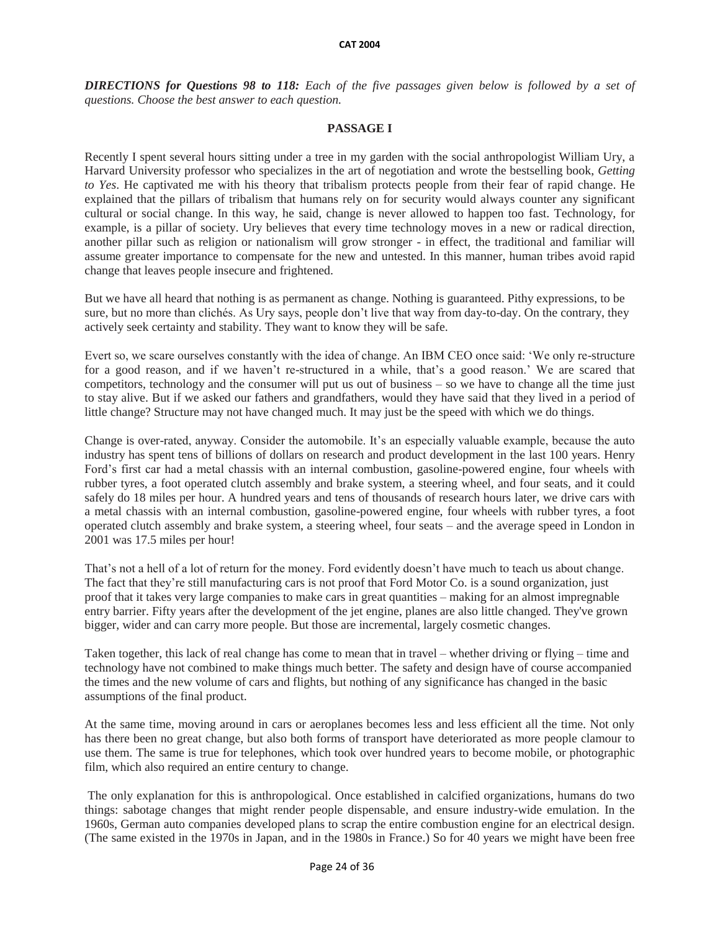*DIRECTIONS for Questions 98 to 118: Each of the five passages given below is followed by a set of questions. Choose the best answer to each question.* 

## **PASSAGE I**

Recently I spent several hours sitting under a tree in my garden with the social anthropologist William Ury, a Harvard University professor who specializes in the art of negotiation and wrote the bestselling book, *Getting to Yes*. He captivated me with his theory that tribalism protects people from their fear of rapid change. He explained that the pillars of tribalism that humans rely on for security would always counter any significant cultural or social change. In this way, he said, change is never allowed to happen too fast. Technology, for example, is a pillar of society. Ury believes that every time technology moves in a new or radical direction, another pillar such as religion or nationalism will grow stronger - in effect, the traditional and familiar will assume greater importance to compensate for the new and untested. In this manner, human tribes avoid rapid change that leaves people insecure and frightened.

But we have all heard that nothing is as permanent as change. Nothing is guaranteed. Pithy expressions, to be sure, but no more than clichés. As Ury says, people don't live that way from day-to-day. On the contrary, they actively seek certainty and stability. They want to know they will be safe.

Evert so, we scare ourselves constantly with the idea of change. An IBM CEO once said: ‗We only re-structure for a good reason, and if we haven't re-structured in a while, that's a good reason.' We are scared that competitors, technology and the consumer will put us out of business – so we have to change all the time just to stay alive. But if we asked our fathers and grandfathers, would they have said that they lived in a period of little change? Structure may not have changed much. It may just be the speed with which we do things.

Change is over-rated, anyway. Consider the automobile. It's an especially valuable example, because the auto industry has spent tens of billions of dollars on research and product development in the last 100 years. Henry Ford's first car had a metal chassis with an internal combustion, gasoline-powered engine, four wheels with rubber tyres, a foot operated clutch assembly and brake system, a steering wheel, and four seats, and it could safely do 18 miles per hour. A hundred years and tens of thousands of research hours later, we drive cars with a metal chassis with an internal combustion, gasoline-powered engine, four wheels with rubber tyres, a foot operated clutch assembly and brake system, a steering wheel, four seats – and the average speed in London in 2001 was 17.5 miles per hour!

That's not a hell of a lot of return for the money. Ford evidently doesn't have much to teach us about change. The fact that they're still manufacturing cars is not proof that Ford Motor Co. is a sound organization, just proof that it takes very large companies to make cars in great quantities – making for an almost impregnable entry barrier. Fifty years after the development of the jet engine, planes are also little changed. They've grown bigger, wider and can carry more people. But those are incremental, largely cosmetic changes.

Taken together, this lack of real change has come to mean that in travel – whether driving or flying – time and technology have not combined to make things much better. The safety and design have of course accompanied the times and the new volume of cars and flights, but nothing of any significance has changed in the basic assumptions of the final product.

At the same time, moving around in cars or aeroplanes becomes less and less efficient all the time. Not only has there been no great change, but also both forms of transport have deteriorated as more people clamour to use them. The same is true for telephones, which took over hundred years to become mobile, or photographic film, which also required an entire century to change.

 The only explanation for this is anthropological. Once established in calcified organizations, humans do two things: sabotage changes that might render people dispensable, and ensure industry-wide emulation. In the 1960s, German auto companies developed plans to scrap the entire combustion engine for an electrical design. (The same existed in the 1970s in Japan, and in the 1980s in France.) So for 40 years we might have been free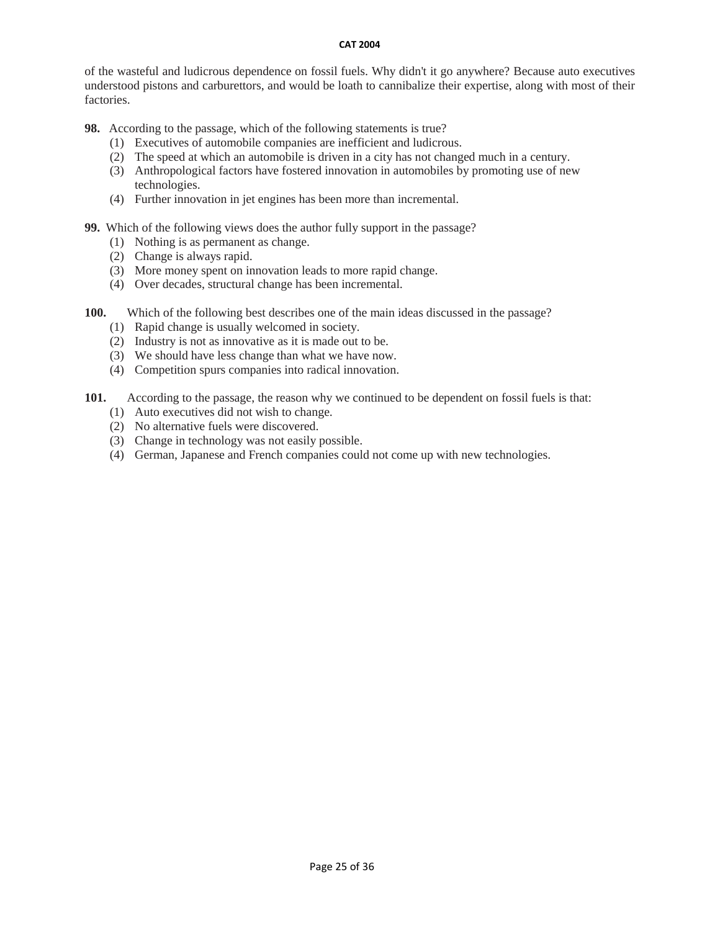of the wasteful and ludicrous dependence on fossil fuels. Why didn't it go anywhere? Because auto executives understood pistons and carburettors, and would be loath to cannibalize their expertise, along with most of their factories.

**98.** According to the passage, which of the following statements is true?

- (1) Executives of automobile companies are inefficient and ludicrous.
- (2) The speed at which an automobile is driven in a city has not changed much in a century.
- (3) Anthropological factors have fostered innovation in automobiles by promoting use of new technologies.
- (4) Further innovation in jet engines has been more than incremental.
- **99.** Which of the following views does the author fully support in the passage?
	- (1) Nothing is as permanent as change.
	- (2) Change is always rapid.
	- (3) More money spent on innovation leads to more rapid change.
	- (4) Over decades, structural change has been incremental.
- **100.** Which of the following best describes one of the main ideas discussed in the passage?
	- (1) Rapid change is usually welcomed in society.
	- (2) Industry is not as innovative as it is made out to be.
	- (3) We should have less change than what we have now.
	- (4) Competition spurs companies into radical innovation.
- **101.** According to the passage, the reason why we continued to be dependent on fossil fuels is that:
	- (1) Auto executives did not wish to change.
	- (2) No alternative fuels were discovered.
	- (3) Change in technology was not easily possible.
	- (4) German, Japanese and French companies could not come up with new technologies.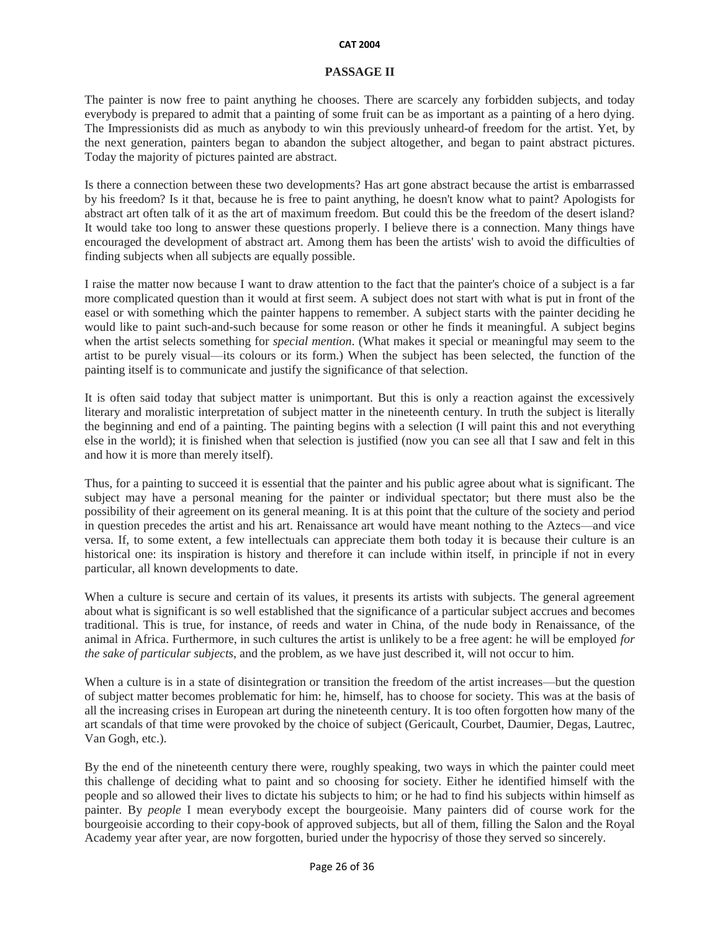## **PASSAGE II**

The painter is now free to paint anything he chooses. There are scarcely any forbidden subjects, and today everybody is prepared to admit that a painting of some fruit can be as important as a painting of a hero dying. The Impressionists did as much as anybody to win this previously unheard-of freedom for the artist. Yet, by the next generation, painters began to abandon the subject altogether, and began to paint abstract pictures. Today the majority of pictures painted are abstract.

Is there a connection between these two developments? Has art gone abstract because the artist is embarrassed by his freedom? Is it that, because he is free to paint anything, he doesn't know what to paint? Apologists for abstract art often talk of it as the art of maximum freedom. But could this be the freedom of the desert island? It would take too long to answer these questions properly. I believe there is a connection. Many things have encouraged the development of abstract art. Among them has been the artists' wish to avoid the difficulties of finding subjects when all subjects are equally possible.

I raise the matter now because I want to draw attention to the fact that the painter's choice of a subject is a far more complicated question than it would at first seem. A subject does not start with what is put in front of the easel or with something which the painter happens to remember. A subject starts with the painter deciding he would like to paint such-and-such because for some reason or other he finds it meaningful. A subject begins when the artist selects something for *special mention*. (What makes it special or meaningful may seem to the artist to be purely visual—its colours or its form.) When the subject has been selected, the function of the painting itself is to communicate and justify the significance of that selection.

It is often said today that subject matter is unimportant. But this is only a reaction against the excessively literary and moralistic interpretation of subject matter in the nineteenth century. In truth the subject is literally the beginning and end of a painting. The painting begins with a selection (I will paint this and not everything else in the world); it is finished when that selection is justified (now you can see all that I saw and felt in this and how it is more than merely itself).

Thus, for a painting to succeed it is essential that the painter and his public agree about what is significant. The subject may have a personal meaning for the painter or individual spectator; but there must also be the possibility of their agreement on its general meaning. It is at this point that the culture of the society and period in question precedes the artist and his art. Renaissance art would have meant nothing to the Aztecs—and vice versa. If, to some extent, a few intellectuals can appreciate them both today it is because their culture is an historical one: its inspiration is history and therefore it can include within itself, in principle if not in every particular, all known developments to date.

When a culture is secure and certain of its values, it presents its artists with subjects. The general agreement about what is significant is so well established that the significance of a particular subject accrues and becomes traditional. This is true, for instance, of reeds and water in China, of the nude body in Renaissance, of the animal in Africa. Furthermore, in such cultures the artist is unlikely to be a free agent: he will be employed *for the sake of particular subjects*, and the problem, as we have just described it, will not occur to him.

When a culture is in a state of disintegration or transition the freedom of the artist increases—but the question of subject matter becomes problematic for him: he, himself, has to choose for society. This was at the basis of all the increasing crises in European art during the nineteenth century. It is too often forgotten how many of the art scandals of that time were provoked by the choice of subject (Gericault, Courbet, Daumier, Degas, Lautrec, Van Gogh, etc.).

By the end of the nineteenth century there were, roughly speaking, two ways in which the painter could meet this challenge of deciding what to paint and so choosing for society. Either he identified himself with the people and so allowed their lives to dictate his subjects to him; or he had to find his subjects within himself as painter. By *people* I mean everybody except the bourgeoisie. Many painters did of course work for the bourgeoisie according to their copy-book of approved subjects, but all of them, filling the Salon and the Royal Academy year after year, are now forgotten, buried under the hypocrisy of those they served so sincerely.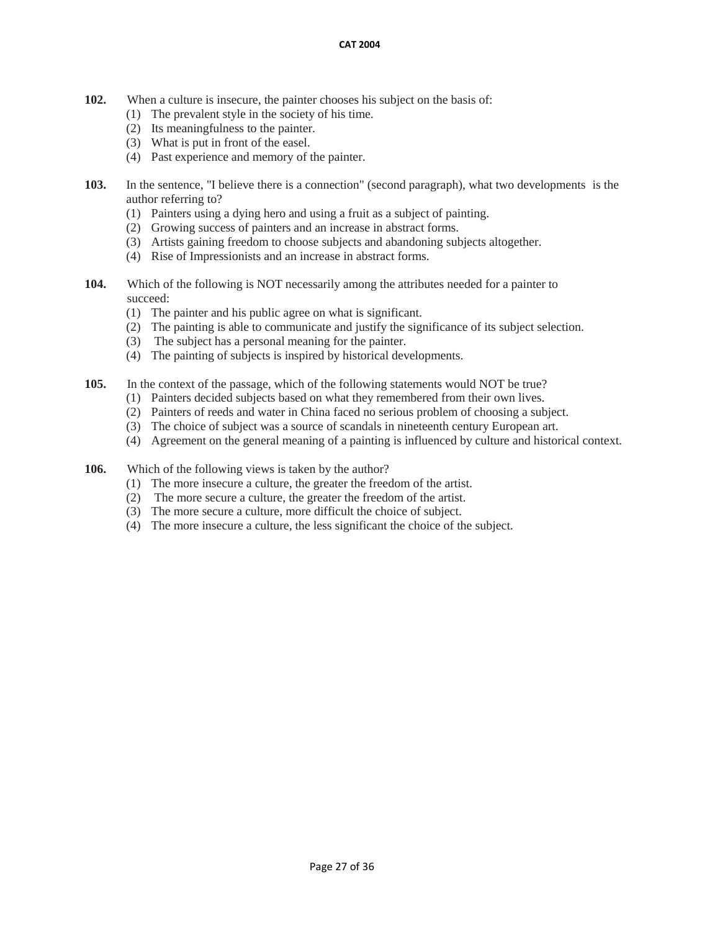- **102.** When a culture is insecure, the painter chooses his subject on the basis of:
	- (1) The prevalent style in the society of his time.
	- (2) Its meaningfulness to the painter.
	- (3) What is put in front of the easel.
	- (4) Past experience and memory of the painter.
- **103.** In the sentence, "I believe there is a connection" (second paragraph), what two developments is the author referring to?
	- (1) Painters using a dying hero and using a fruit as a subject of painting.
	- (2) Growing success of painters and an increase in abstract forms.
	- (3) Artists gaining freedom to choose subjects and abandoning subjects altogether.
	- (4) Rise of Impressionists and an increase in abstract forms.
- **104.** Which of the following is NOT necessarily among the attributes needed for a painter to succeed:
	- (1) The painter and his public agree on what is significant.
	- (2) The painting is able to communicate and justify the significance of its subject selection.
	- (3) The subject has a personal meaning for the painter.
	- (4) The painting of subjects is inspired by historical developments.
- **105.** In the context of the passage, which of the following statements would NOT be true?
	- (1) Painters decided subjects based on what they remembered from their own lives.
	- (2) Painters of reeds and water in China faced no serious problem of choosing a subject.
	- (3) The choice of subject was a source of scandals in nineteenth century European art.
	- (4) Agreement on the general meaning of a painting is influenced by culture and historical context.
- **106.** Which of the following views is taken by the author?
	- (1) The more insecure a culture, the greater the freedom of the artist.
	- (2) The more secure a culture, the greater the freedom of the artist.
	- (3) The more secure a culture, more difficult the choice of subject.
	- (4) The more insecure a culture, the less significant the choice of the subject.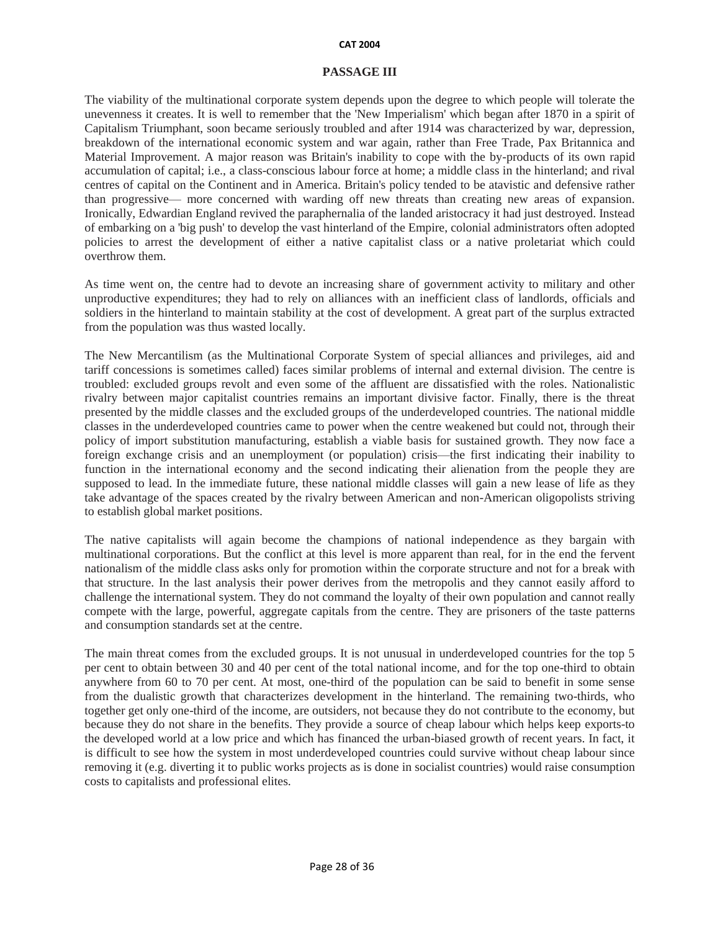## **PASSAGE III**

The viability of the multinational corporate system depends upon the degree to which people will tolerate the unevenness it creates. It is well to remember that the 'New Imperialism' which began after 1870 in a spirit of Capitalism Triumphant, soon became seriously troubled and after 1914 was characterized by war, depression, breakdown of the international economic system and war again, rather than Free Trade, Pax Britannica and Material Improvement. A major reason was Britain's inability to cope with the by-products of its own rapid accumulation of capital; i.e., a class-conscious labour force at home; a middle class in the hinterland; and rival centres of capital on the Continent and in America. Britain's policy tended to be atavistic and defensive rather than progressive— more concerned with warding off new threats than creating new areas of expansion. Ironically, Edwardian England revived the paraphernalia of the landed aristocracy it had just destroyed. Instead of embarking on a 'big push' to develop the vast hinterland of the Empire, colonial administrators often adopted policies to arrest the development of either a native capitalist class or a native proletariat which could overthrow them.

As time went on, the centre had to devote an increasing share of government activity to military and other unproductive expenditures; they had to rely on alliances with an inefficient class of landlords, officials and soldiers in the hinterland to maintain stability at the cost of development. A great part of the surplus extracted from the population was thus wasted locally.

The New Mercantilism (as the Multinational Corporate System of special alliances and privileges, aid and tariff concessions is sometimes called) faces similar problems of internal and external division. The centre is troubled: excluded groups revolt and even some of the affluent are dissatisfied with the roles. Nationalistic rivalry between major capitalist countries remains an important divisive factor. Finally, there is the threat presented by the middle classes and the excluded groups of the underdeveloped countries. The national middle classes in the underdeveloped countries came to power when the centre weakened but could not, through their policy of import substitution manufacturing, establish a viable basis for sustained growth. They now face a foreign exchange crisis and an unemployment (or population) crisis—the first indicating their inability to function in the international economy and the second indicating their alienation from the people they are supposed to lead. In the immediate future, these national middle classes will gain a new lease of life as they take advantage of the spaces created by the rivalry between American and non-American oligopolists striving to establish global market positions.

The native capitalists will again become the champions of national independence as they bargain with multinational corporations. But the conflict at this level is more apparent than real, for in the end the fervent nationalism of the middle class asks only for promotion within the corporate structure and not for a break with that structure. In the last analysis their power derives from the metropolis and they cannot easily afford to challenge the international system. They do not command the loyalty of their own population and cannot really compete with the large, powerful, aggregate capitals from the centre. They are prisoners of the taste patterns and consumption standards set at the centre.

The main threat comes from the excluded groups. It is not unusual in underdeveloped countries for the top 5 per cent to obtain between 30 and 40 per cent of the total national income, and for the top one-third to obtain anywhere from 60 to 70 per cent. At most, one-third of the population can be said to benefit in some sense from the dualistic growth that characterizes development in the hinterland. The remaining two-thirds, who together get only one-third of the income, are outsiders, not because they do not contribute to the economy, but because they do not share in the benefits. They provide a source of cheap labour which helps keep exports-to the developed world at a low price and which has financed the urban-biased growth of recent years. In fact, it is difficult to see how the system in most underdeveloped countries could survive without cheap labour since removing it (e.g. diverting it to public works projects as is done in socialist countries) would raise consumption costs to capitalists and professional elites.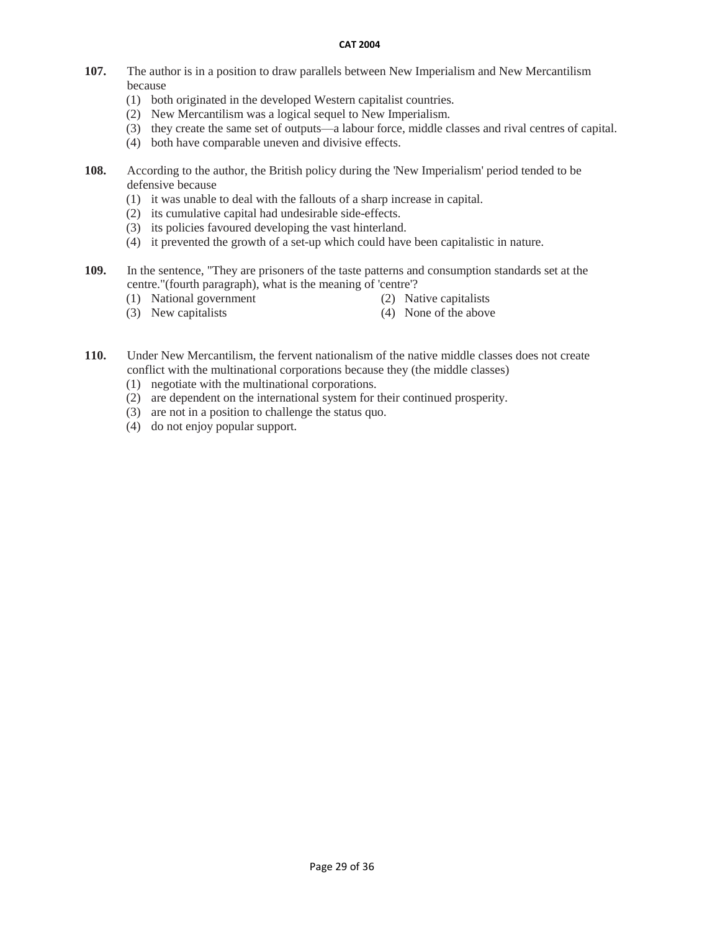- **107.** The author is in a position to draw parallels between New Imperialism and New Mercantilism because
	- (1) both originated in the developed Western capitalist countries.
	- (2) New Mercantilism was a logical sequel to New Imperialism.
	- (3) they create the same set of outputs—a labour force, middle classes and rival centres of capital.
	- (4) both have comparable uneven and divisive effects.
- **108.** According to the author, the British policy during the 'New Imperialism' period tended to be defensive because
	- (1) it was unable to deal with the fallouts of a sharp increase in capital.
	- (2) its cumulative capital had undesirable side-effects.
	- (3) its policies favoured developing the vast hinterland.
	- (4) it prevented the growth of a set-up which could have been capitalistic in nature.
- **109.** In the sentence, "They are prisoners of the taste patterns and consumption standards set at the centre."(fourth paragraph), what is the meaning of 'centre'?
	- (1) National government (2) Native capitalists
		-
	- (3) New capitalists (4) None of the above
- 
- **110.** Under New Mercantilism, the fervent nationalism of the native middle classes does not create conflict with the multinational corporations because they (the middle classes)
	- (1) negotiate with the multinational corporations.
	- (2) are dependent on the international system for their continued prosperity.
	- (3) are not in a position to challenge the status quo.
	- (4) do not enjoy popular support.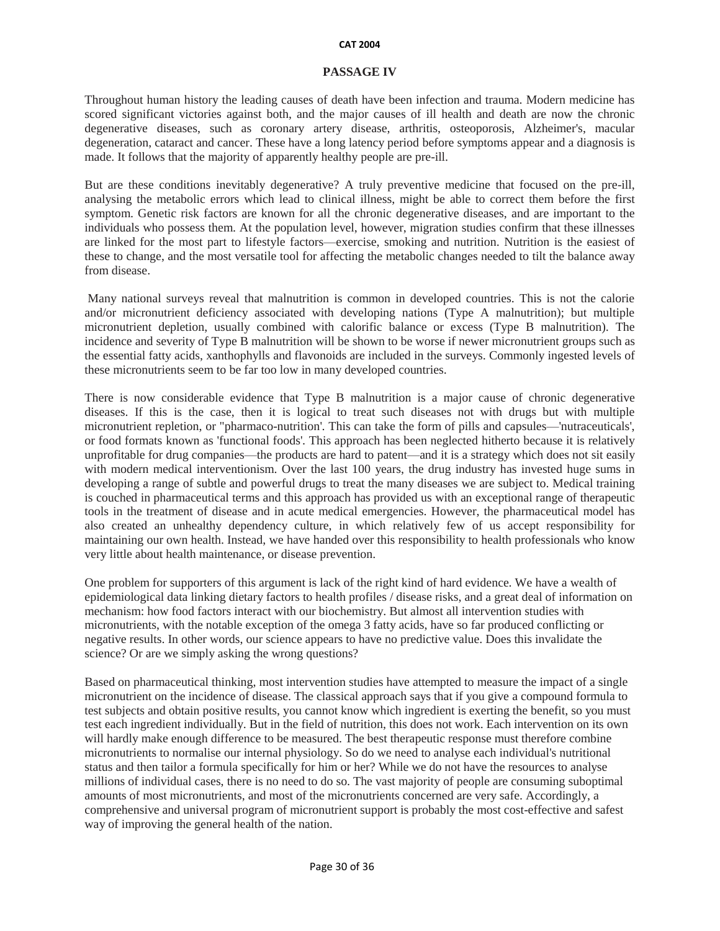## **PASSAGE IV**

Throughout human history the leading causes of death have been infection and trauma. Modern medicine has scored significant victories against both, and the major causes of ill health and death are now the chronic degenerative diseases, such as coronary artery disease, arthritis, osteoporosis, Alzheimer's, macular degeneration, cataract and cancer. These have a long latency period before symptoms appear and a diagnosis is made. It follows that the majority of apparently healthy people are pre-ill.

But are these conditions inevitably degenerative? A truly preventive medicine that focused on the pre-ill, analysing the metabolic errors which lead to clinical illness, might be able to correct them before the first symptom. Genetic risk factors are known for all the chronic degenerative diseases, and are important to the individuals who possess them. At the population level, however, migration studies confirm that these illnesses are linked for the most part to lifestyle factors—exercise, smoking and nutrition. Nutrition is the easiest of these to change, and the most versatile tool for affecting the metabolic changes needed to tilt the balance away from disease.

 Many national surveys reveal that malnutrition is common in developed countries. This is not the calorie and/or micronutrient deficiency associated with developing nations (Type A malnutrition); but multiple micronutrient depletion, usually combined with calorific balance or excess (Type B malnutrition). The incidence and severity of Type B malnutrition will be shown to be worse if newer micronutrient groups such as the essential fatty acids, xanthophylls and flavonoids are included in the surveys. Commonly ingested levels of these micronutrients seem to be far too low in many developed countries.

There is now considerable evidence that Type B malnutrition is a major cause of chronic degenerative diseases. If this is the case, then it is logical to treat such diseases not with drugs but with multiple micronutrient repletion, or "pharmaco-nutrition'. This can take the form of pills and capsules—'nutraceuticals', or food formats known as 'functional foods'. This approach has been neglected hitherto because it is relatively unprofitable for drug companies—the products are hard to patent—and it is a strategy which does not sit easily with modern medical interventionism. Over the last 100 years, the drug industry has invested huge sums in developing a range of subtle and powerful drugs to treat the many diseases we are subject to. Medical training is couched in pharmaceutical terms and this approach has provided us with an exceptional range of therapeutic tools in the treatment of disease and in acute medical emergencies. However, the pharmaceutical model has also created an unhealthy dependency culture, in which relatively few of us accept responsibility for maintaining our own health. Instead, we have handed over this responsibility to health professionals who know very little about health maintenance, or disease prevention.

One problem for supporters of this argument is lack of the right kind of hard evidence. We have a wealth of epidemiological data linking dietary factors to health profiles / disease risks, and a great deal of information on mechanism: how food factors interact with our biochemistry. But almost all intervention studies with micronutrients, with the notable exception of the omega 3 fatty acids, have so far produced conflicting or negative results. In other words, our science appears to have no predictive value. Does this invalidate the science? Or are we simply asking the wrong questions?

Based on pharmaceutical thinking, most intervention studies have attempted to measure the impact of a single micronutrient on the incidence of disease. The classical approach says that if you give a compound formula to test subjects and obtain positive results, you cannot know which ingredient is exerting the benefit, so you must test each ingredient individually. But in the field of nutrition, this does not work. Each intervention on its own will hardly make enough difference to be measured. The best therapeutic response must therefore combine micronutrients to normalise our internal physiology. So do we need to analyse each individual's nutritional status and then tailor a formula specifically for him or her? While we do not have the resources to analyse millions of individual cases, there is no need to do so. The vast majority of people are consuming suboptimal amounts of most micronutrients, and most of the micronutrients concerned are very safe. Accordingly, a comprehensive and universal program of micronutrient support is probably the most cost-effective and safest way of improving the general health of the nation.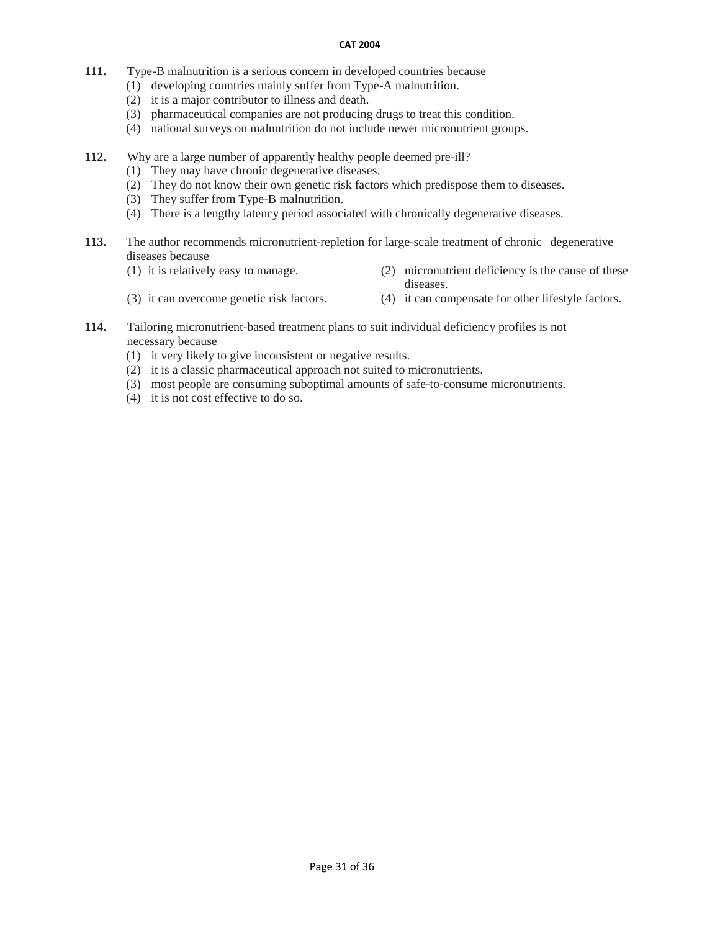- **111.** Type-B malnutrition is a serious concern in developed countries because
	- (1) developing countries mainly suffer from Type-A malnutrition.
	- (2) it is a major contributor to illness and death.
	- (3) pharmaceutical companies are not producing drugs to treat this condition.
	- (4) national surveys on malnutrition do not include newer micronutrient groups.
- **112.** Why are a large number of apparently healthy people deemed pre-ill?
	- (1) They may have chronic degenerative diseases.
	- (2) They do not know their own genetic risk factors which predispose them to diseases.
	- (3) They suffer from Type-B malnutrition.
	- (4) There is a lengthy latency period associated with chronically degenerative diseases.
- **113.** The author recommends micronutrient-repletion for large-scale treatment of chronic degenerative diseases because
	- (1) it is relatively easy to manage. (2) micronutrient deficiency is the cause of these
		- diseases.
	-
	- (3) it can overcome genetic risk factors. (4) it can compensate for other lifestyle factors.
- **114.** Tailoring micronutrient-based treatment plans to suit individual deficiency profiles is not necessary because
	- (1) it very likely to give inconsistent or negative results.
	- (2) it is a classic pharmaceutical approach not suited to micronutrients.
	- (3) most people are consuming suboptimal amounts of safe-to-consume micronutrients.
	- (4) it is not cost effective to do so.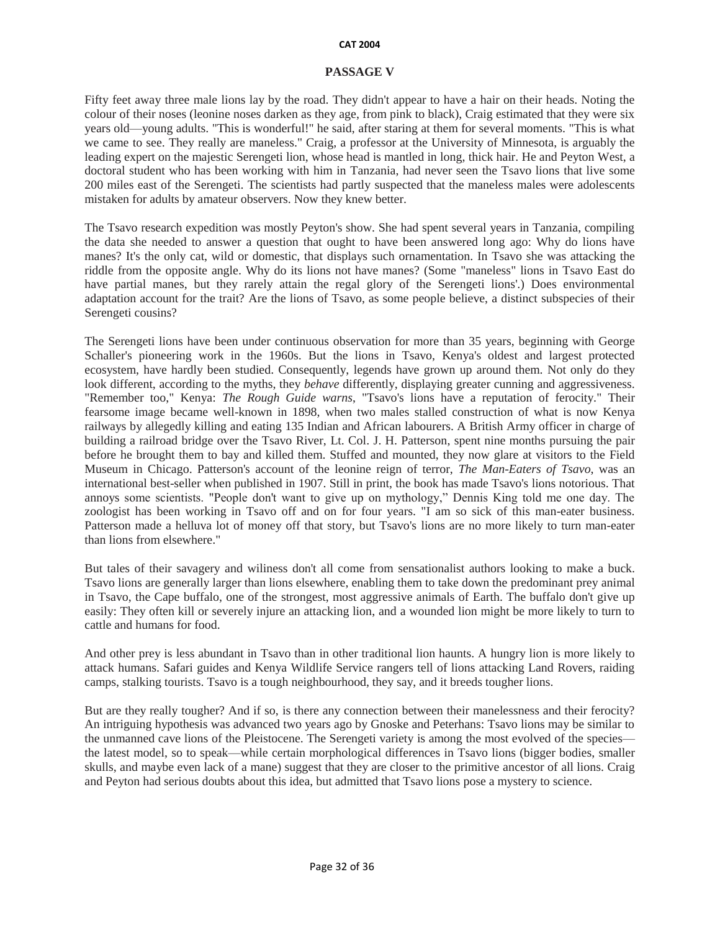## **PASSAGE V**

Fifty feet away three male lions lay by the road. They didn't appear to have a hair on their heads. Noting the colour of their noses (leonine noses darken as they age, from pink to black), Craig estimated that they were six years old—young adults. "This is wonderful!" he said, after staring at them for several moments. "This is what we came to see. They really are maneless." Craig, a professor at the University of Minnesota, is arguably the leading expert on the majestic Serengeti lion, whose head is mantled in long, thick hair. He and Peyton West, a doctoral student who has been working with him in Tanzania, had never seen the Tsavo lions that live some 200 miles east of the Serengeti. The scientists had partly suspected that the maneless males were adolescents mistaken for adults by amateur observers. Now they knew better.

The Tsavo research expedition was mostly Peyton's show. She had spent several years in Tanzania, compiling the data she needed to answer a question that ought to have been answered long ago: Why do lions have manes? It's the only cat, wild or domestic, that displays such ornamentation. In Tsavo she was attacking the riddle from the opposite angle. Why do its lions not have manes? (Some "maneless" lions in Tsavo East do have partial manes, but they rarely attain the regal glory of the Serengeti lions'.) Does environmental adaptation account for the trait? Are the lions of Tsavo, as some people believe, a distinct subspecies of their Serengeti cousins?

The Serengeti lions have been under continuous observation for more than 35 years, beginning with George Schaller's pioneering work in the 1960s. But the lions in Tsavo, Kenya's oldest and largest protected ecosystem, have hardly been studied. Consequently, legends have grown up around them. Not only do they look different, according to the myths, they *behave* differently, displaying greater cunning and aggressiveness. "Remember too," Kenya: *The Rough Guide warns*, "Tsavo's lions have a reputation of ferocity." Their fearsome image became well-known in 1898, when two males stalled construction of what is now Kenya railways by allegedly killing and eating 135 Indian and African labourers. A British Army officer in charge of building a railroad bridge over the Tsavo River, Lt. Col. J. H. Patterson, spent nine months pursuing the pair before he brought them to bay and killed them. Stuffed and mounted, they now glare at visitors to the Field Museum in Chicago. Patterson's account of the leonine reign of terror, *The Man-Eaters of Tsavo*, was an international best-seller when published in 1907. Still in print, the book has made Tsavo's lions notorious. That annoys some scientists. "People don't want to give up on mythology," Dennis King told me one day. The zoologist has been working in Tsavo off and on for four years. "I am so sick of this man-eater business. Patterson made a helluva lot of money off that story, but Tsavo's lions are no more likely to turn man-eater than lions from elsewhere."

But tales of their savagery and wiliness don't all come from sensationalist authors looking to make a buck. Tsavo lions are generally larger than lions elsewhere, enabling them to take down the predominant prey animal in Tsavo, the Cape buffalo, one of the strongest, most aggressive animals of Earth. The buffalo don't give up easily: They often kill or severely injure an attacking lion, and a wounded lion might be more likely to turn to cattle and humans for food.

And other prey is less abundant in Tsavo than in other traditional lion haunts. A hungry lion is more likely to attack humans. Safari guides and Kenya Wildlife Service rangers tell of lions attacking Land Rovers, raiding camps, stalking tourists. Tsavo is a tough neighbourhood, they say, and it breeds tougher lions.

But are they really tougher? And if so, is there any connection between their manelessness and their ferocity? An intriguing hypothesis was advanced two years ago by Gnoske and Peterhans: Tsavo lions may be similar to the unmanned cave lions of the Pleistocene. The Serengeti variety is among the most evolved of the species the latest model, so to speak—while certain morphological differences in Tsavo lions (bigger bodies, smaller skulls, and maybe even lack of a mane) suggest that they are closer to the primitive ancestor of all lions. Craig and Peyton had serious doubts about this idea, but admitted that Tsavo lions pose a mystery to science.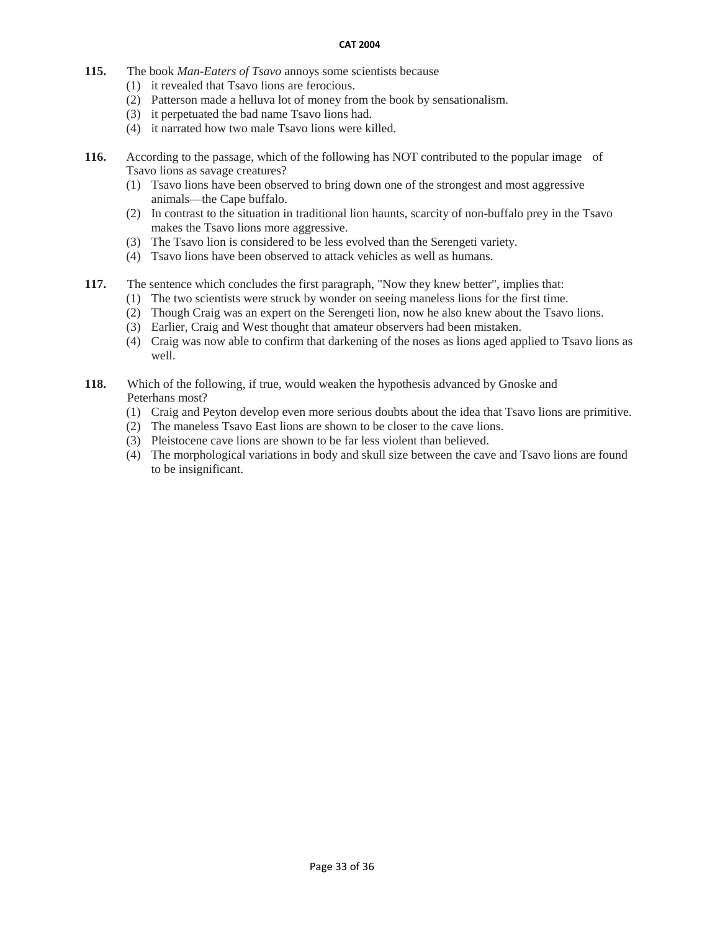- **115.** The book *Man-Eaters of Tsavo* annoys some scientists because
	- (1) it revealed that Tsavo lions are ferocious.
	- (2) Patterson made a helluva lot of money from the book by sensationalism.
	- (3) it perpetuated the bad name Tsavo lions had.
	- (4) it narrated how two male Tsavo lions were killed.
- **116.** According to the passage, which of the following has NOT contributed to the popular image of Tsavo lions as savage creatures?
	- (1) Tsavo lions have been observed to bring down one of the strongest and most aggressive animals—the Cape buffalo.
	- (2) In contrast to the situation in traditional lion haunts, scarcity of non-buffalo prey in the Tsavo makes the Tsavo lions more aggressive.
	- (3) The Tsavo lion is considered to be less evolved than the Serengeti variety.
	- (4) Tsavo lions have been observed to attack vehicles as well as humans.
- **117.** The sentence which concludes the first paragraph, "Now they knew better", implies that:
	- (1) The two scientists were struck by wonder on seeing maneless lions for the first time.
	- (2) Though Craig was an expert on the Serengeti lion, now he also knew about the Tsavo lions.
	- (3) Earlier, Craig and West thought that amateur observers had been mistaken.
	- (4) Craig was now able to confirm that darkening of the noses as lions aged applied to Tsavo lions as well.
- **118.** Which of the following, if true, would weaken the hypothesis advanced by Gnoske and Peterhans most?
	- (1) Craig and Peyton develop even more serious doubts about the idea that Tsavo lions are primitive.
	- (2) The maneless Tsavo East lions are shown to be closer to the cave lions.
	- (3) Pleistocene cave lions are shown to be far less violent than believed.
	- (4) The morphological variations in body and skull size between the cave and Tsavo lions are found to be insignificant.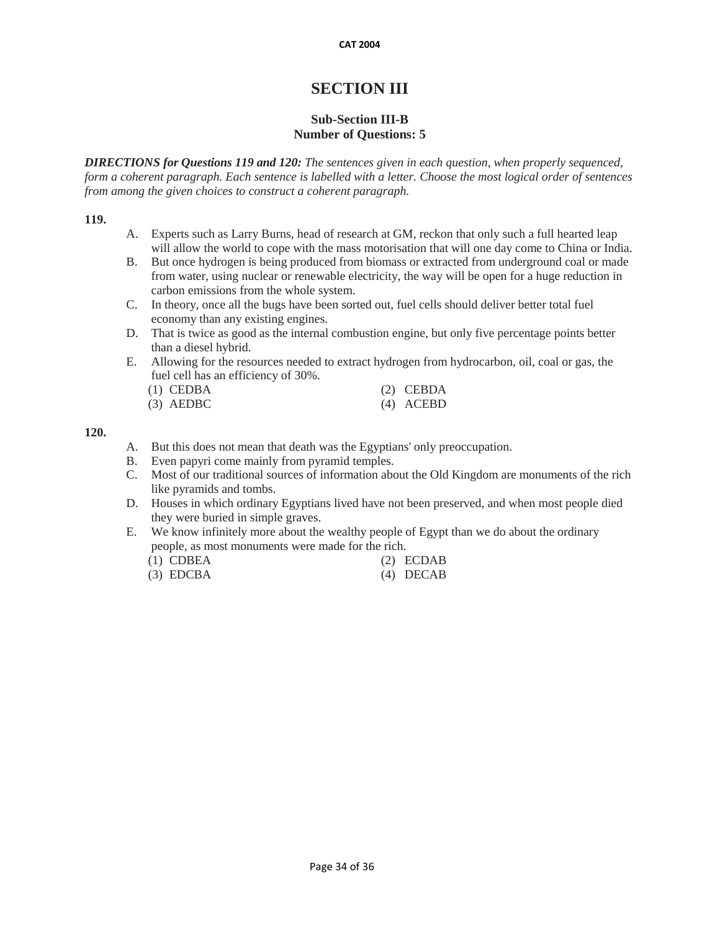# **SECTION III**

# **Sub-Section III-B Number of Questions: 5**

*DIRECTIONS for Questions 119 and 120: The sentences given in each question, when properly sequenced, form a coherent paragraph. Each sentence is labelled with a letter. Choose the most logical order of sentences from among the given choices to construct a coherent paragraph.* 

## **119.**

- A. Experts such as Larry Burns, head of research at GM, reckon that only such a full hearted leap will allow the world to cope with the mass motorisation that will one day come to China or India.
- B. But once hydrogen is being produced from biomass or extracted from underground coal or made from water, using nuclear or renewable electricity, the way will be open for a huge reduction in carbon emissions from the whole system.
- C. In theory, once all the bugs have been sorted out, fuel cells should deliver better total fuel economy than any existing engines.
- D. That is twice as good as the internal combustion engine, but only five percentage points better than a diesel hybrid.
- E. Allowing for the resources needed to extract hydrogen from hydrocarbon, oil, coal or gas, the fuel cell has an efficiency of 30%.

| $(1)$ CEDBA | $(2)$ CEBDA |
|-------------|-------------|
| $(3)$ AEDBC | $(4)$ ACEBD |

## **120.**

- A. But this does not mean that death was the Egyptians' only preoccupation.
- B. Even papyri come mainly from pyramid temples.
- C. Most of our traditional sources of information about the Old Kingdom are monuments of the rich like pyramids and tombs.
- D. Houses in which ordinary Egyptians lived have not been preserved, and when most people died they were buried in simple graves.
- E. We know infinitely more about the wealthy people of Egypt than we do about the ordinary people, as most monuments were made for the rich.

| $(1)$ CDBEA | $(2)$ ECDAB |
|-------------|-------------|
| $(3)$ FDCRA | $(A)$ DECAR |

(3) EDCBA (4) DECAB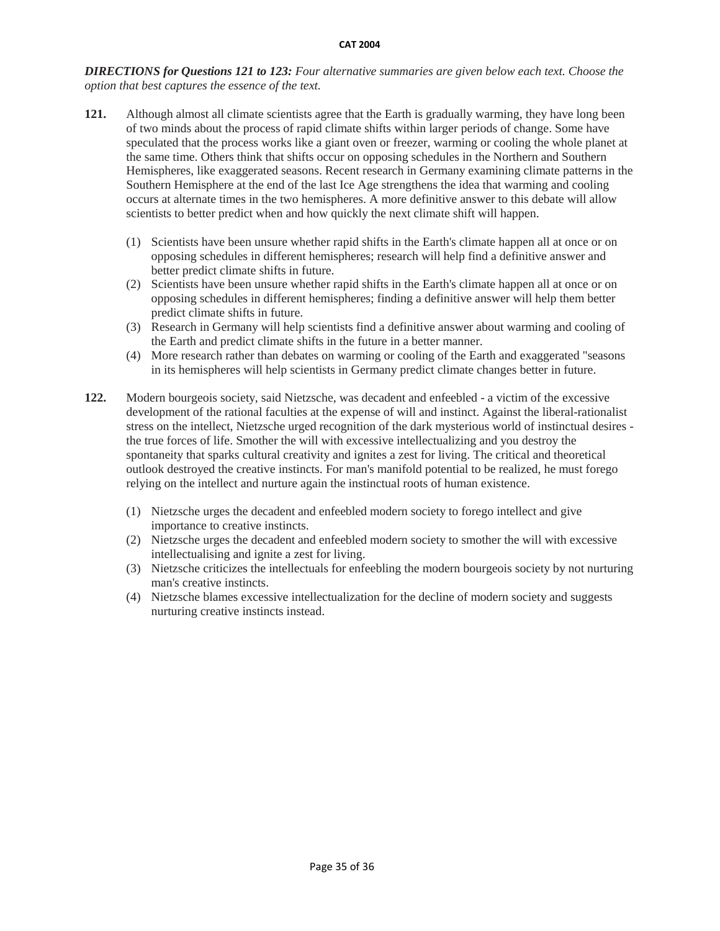*DIRECTIONS for Questions 121 to 123: Four alternative summaries are given below each text. Choose the option that best captures the essence of the text.* 

- **121.** Although almost all climate scientists agree that the Earth is gradually warming, they have long been of two minds about the process of rapid climate shifts within larger periods of change. Some have speculated that the process works like a giant oven or freezer, warming or cooling the whole planet at the same time. Others think that shifts occur on opposing schedules in the Northern and Southern Hemispheres, like exaggerated seasons. Recent research in Germany examining climate patterns in the Southern Hemisphere at the end of the last Ice Age strengthens the idea that warming and cooling occurs at alternate times in the two hemispheres. A more definitive answer to this debate will allow scientists to better predict when and how quickly the next climate shift will happen.
	- (1) Scientists have been unsure whether rapid shifts in the Earth's climate happen all at once or on opposing schedules in different hemispheres; research will help find a definitive answer and better predict climate shifts in future.
	- (2) Scientists have been unsure whether rapid shifts in the Earth's climate happen all at once or on opposing schedules in different hemispheres; finding a definitive answer will help them better predict climate shifts in future.
	- (3) Research in Germany will help scientists find a definitive answer about warming and cooling of the Earth and predict climate shifts in the future in a better manner.
	- (4) More research rather than debates on warming or cooling of the Earth and exaggerated "seasons in its hemispheres will help scientists in Germany predict climate changes better in future.
- **122.** Modern bourgeois society, said Nietzsche, was decadent and enfeebled a victim of the excessive development of the rational faculties at the expense of will and instinct. Against the liberal-rationalist stress on the intellect, Nietzsche urged recognition of the dark mysterious world of instinctual desires the true forces of life. Smother the will with excessive intellectualizing and you destroy the spontaneity that sparks cultural creativity and ignites a zest for living. The critical and theoretical outlook destroyed the creative instincts. For man's manifold potential to be realized, he must forego relying on the intellect and nurture again the instinctual roots of human existence.
	- (1) Nietzsche urges the decadent and enfeebled modern society to forego intellect and give importance to creative instincts.
	- (2) Nietzsche urges the decadent and enfeebled modern society to smother the will with excessive intellectualising and ignite a zest for living.
	- (3) Nietzsche criticizes the intellectuals for enfeebling the modern bourgeois society by not nurturing man's creative instincts.
	- (4) Nietzsche blames excessive intellectualization for the decline of modern society and suggests nurturing creative instincts instead.